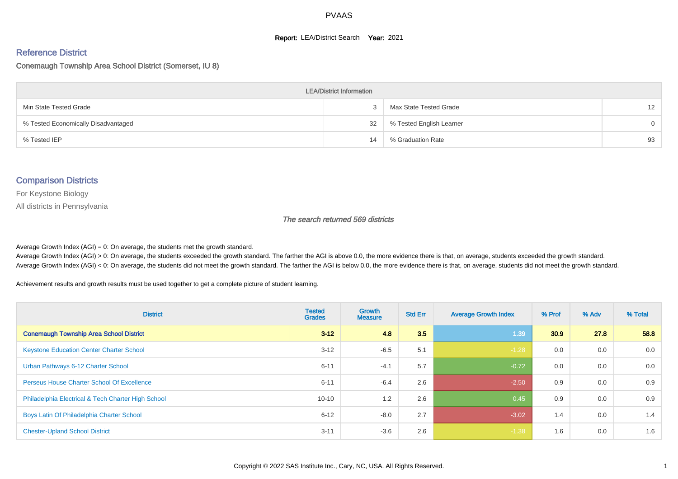#### **Report: LEA/District Search Year: 2021**

# Reference District

#### Conemaugh Township Area School District (Somerset, IU 8)

| <b>LEA/District Information</b>     |    |                          |                   |  |  |  |  |  |  |  |
|-------------------------------------|----|--------------------------|-------------------|--|--|--|--|--|--|--|
| Min State Tested Grade              |    | Max State Tested Grade   | $12 \overline{ }$ |  |  |  |  |  |  |  |
| % Tested Economically Disadvantaged | 32 | % Tested English Learner | $\Omega$          |  |  |  |  |  |  |  |
| % Tested IEP                        | 14 | % Graduation Rate        | 93                |  |  |  |  |  |  |  |

#### Comparison Districts

For Keystone Biology

All districts in Pennsylvania

The search returned 569 districts

Average Growth Index  $(AGI) = 0$ : On average, the students met the growth standard.

Average Growth Index (AGI) > 0: On average, the students exceeded the growth standard. The farther the AGI is above 0.0, the more evidence there is that, on average, students exceeded the growth standard. Average Growth Index (AGI) < 0: On average, the students did not meet the growth standard. The farther the AGI is below 0.0, the more evidence there is that, on average, students did not meet the growth standard.

Achievement results and growth results must be used together to get a complete picture of student learning.

| <b>District</b>                                    | <b>Tested</b><br><b>Grades</b> | <b>Growth</b><br><b>Measure</b> | <b>Std Err</b> | <b>Average Growth Index</b> | % Prof | % Adv | % Total |
|----------------------------------------------------|--------------------------------|---------------------------------|----------------|-----------------------------|--------|-------|---------|
| <b>Conemaugh Township Area School District</b>     | $3 - 12$                       | 4.8                             | 3.5            | 1.39                        | 30.9   | 27.8  | 58.8    |
| <b>Keystone Education Center Charter School</b>    | $3 - 12$                       | $-6.5$                          | 5.1            | $-1.28$                     | 0.0    | 0.0   | 0.0     |
| Urban Pathways 6-12 Charter School                 | $6 - 11$                       | $-4.1$                          | 5.7            | $-0.72$                     | 0.0    | 0.0   | 0.0     |
| <b>Perseus House Charter School Of Excellence</b>  | $6 - 11$                       | $-6.4$                          | 2.6            | $-2.50$                     | 0.9    | 0.0   | 0.9     |
| Philadelphia Electrical & Tech Charter High School | $10 - 10$                      | 1.2                             | 2.6            | 0.45                        | 0.9    | 0.0   | 0.9     |
| Boys Latin Of Philadelphia Charter School          | $6 - 12$                       | $-8.0$                          | 2.7            | $-3.02$                     | 1.4    | 0.0   | 1.4     |
| <b>Chester-Upland School District</b>              | $3 - 11$                       | $-3.6$                          | 2.6            | $-1.38$                     | 1.6    | 0.0   | 1.6     |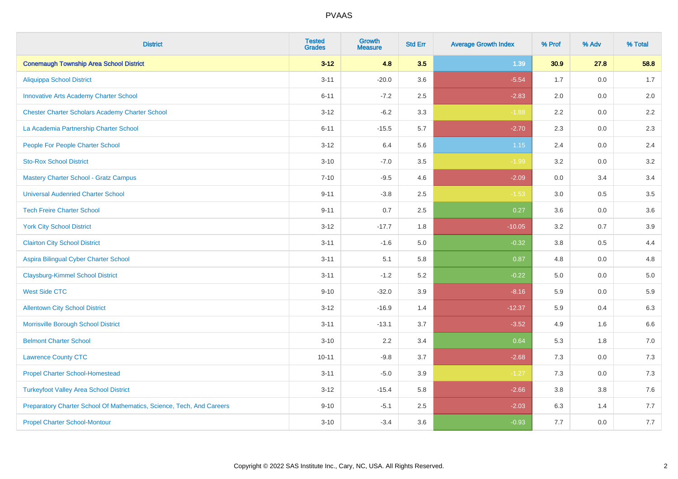| <b>District</b>                                                       | <b>Tested</b><br><b>Grades</b> | <b>Growth</b><br><b>Measure</b> | <b>Std Err</b> | <b>Average Growth Index</b> | % Prof | % Adv   | % Total |
|-----------------------------------------------------------------------|--------------------------------|---------------------------------|----------------|-----------------------------|--------|---------|---------|
| <b>Conemaugh Township Area School District</b>                        | $3 - 12$                       | 4.8                             | 3.5            | 1.39                        | 30.9   | 27.8    | 58.8    |
| <b>Aliquippa School District</b>                                      | $3 - 11$                       | $-20.0$                         | 3.6            | $-5.54$                     | 1.7    | 0.0     | 1.7     |
| <b>Innovative Arts Academy Charter School</b>                         | $6 - 11$                       | $-7.2$                          | 2.5            | $-2.83$                     | 2.0    | 0.0     | 2.0     |
| <b>Chester Charter Scholars Academy Charter School</b>                | $3 - 12$                       | $-6.2$                          | 3.3            | $-1.88$                     | 2.2    | 0.0     | 2.2     |
| La Academia Partnership Charter School                                | $6 - 11$                       | $-15.5$                         | 5.7            | $-2.70$                     | 2.3    | 0.0     | 2.3     |
| People For People Charter School                                      | $3 - 12$                       | 6.4                             | 5.6            | $1.15$                      | 2.4    | 0.0     | 2.4     |
| <b>Sto-Rox School District</b>                                        | $3 - 10$                       | $-7.0$                          | 3.5            | $-1.99$                     | 3.2    | $0.0\,$ | 3.2     |
| <b>Mastery Charter School - Gratz Campus</b>                          | $7 - 10$                       | $-9.5$                          | 4.6            | $-2.09$                     | 0.0    | 3.4     | 3.4     |
| <b>Universal Audenried Charter School</b>                             | $9 - 11$                       | $-3.8$                          | 2.5            | $-1.53$                     | 3.0    | 0.5     | 3.5     |
| <b>Tech Freire Charter School</b>                                     | $9 - 11$                       | 0.7                             | 2.5            | 0.27                        | 3.6    | 0.0     | 3.6     |
| <b>York City School District</b>                                      | $3 - 12$                       | $-17.7$                         | 1.8            | $-10.05$                    | 3.2    | 0.7     | 3.9     |
| <b>Clairton City School District</b>                                  | $3 - 11$                       | $-1.6$                          | 5.0            | $-0.32$                     | 3.8    | 0.5     | 4.4     |
| Aspira Bilingual Cyber Charter School                                 | $3 - 11$                       | 5.1                             | 5.8            | 0.87                        | 4.8    | 0.0     | 4.8     |
| <b>Claysburg-Kimmel School District</b>                               | $3 - 11$                       | $-1.2$                          | 5.2            | $-0.22$                     | 5.0    | 0.0     | 5.0     |
| <b>West Side CTC</b>                                                  | $9 - 10$                       | $-32.0$                         | 3.9            | $-8.16$                     | 5.9    | 0.0     | 5.9     |
| <b>Allentown City School District</b>                                 | $3 - 12$                       | $-16.9$                         | 1.4            | $-12.37$                    | 5.9    | 0.4     | 6.3     |
| Morrisville Borough School District                                   | $3 - 11$                       | $-13.1$                         | 3.7            | $-3.52$                     | 4.9    | 1.6     | 6.6     |
| <b>Belmont Charter School</b>                                         | $3 - 10$                       | 2.2                             | 3.4            | 0.64                        | 5.3    | 1.8     | $7.0\,$ |
| <b>Lawrence County CTC</b>                                            | $10 - 11$                      | $-9.8$                          | 3.7            | $-2.68$                     | 7.3    | 0.0     | 7.3     |
| <b>Propel Charter School-Homestead</b>                                | $3 - 11$                       | $-5.0$                          | 3.9            | $-1.27$                     | 7.3    | 0.0     | $7.3$   |
| <b>Turkeyfoot Valley Area School District</b>                         | $3 - 12$                       | $-15.4$                         | 5.8            | $-2.66$                     | 3.8    | $3.8\,$ | $7.6$   |
| Preparatory Charter School Of Mathematics, Science, Tech, And Careers | $9 - 10$                       | $-5.1$                          | 2.5            | $-2.03$                     | 6.3    | 1.4     | 7.7     |
| <b>Propel Charter School-Montour</b>                                  | $3 - 10$                       | $-3.4$                          | 3.6            | $-0.93$                     | 7.7    | 0.0     | 7.7     |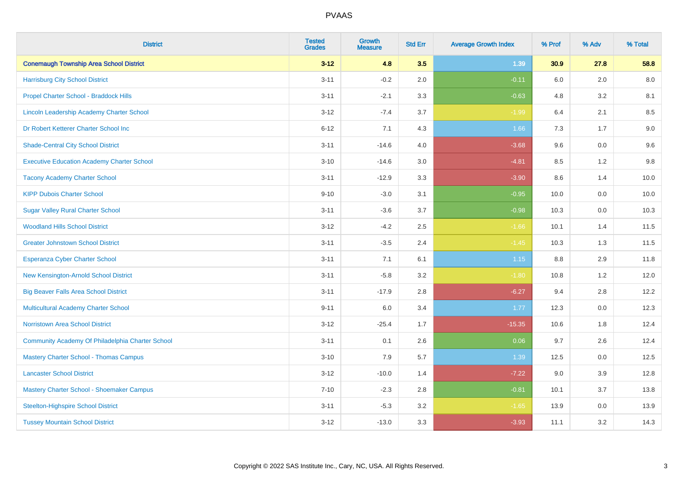| <b>District</b>                                   | <b>Tested</b><br><b>Grades</b> | <b>Growth</b><br><b>Measure</b> | <b>Std Err</b> | <b>Average Growth Index</b> | % Prof | % Adv   | % Total |
|---------------------------------------------------|--------------------------------|---------------------------------|----------------|-----------------------------|--------|---------|---------|
| <b>Conemaugh Township Area School District</b>    | $3 - 12$                       | 4.8                             | 3.5            | 1.39                        | 30.9   | 27.8    | 58.8    |
| <b>Harrisburg City School District</b>            | $3 - 11$                       | $-0.2$                          | 2.0            | $-0.11$                     | 6.0    | 2.0     | 8.0     |
| Propel Charter School - Braddock Hills            | $3 - 11$                       | $-2.1$                          | 3.3            | $-0.63$                     | 4.8    | 3.2     | 8.1     |
| Lincoln Leadership Academy Charter School         | $3 - 12$                       | $-7.4$                          | 3.7            | $-1.99$                     | 6.4    | 2.1     | 8.5     |
| Dr Robert Ketterer Charter School Inc             | $6 - 12$                       | 7.1                             | 4.3            | 1.66                        | 7.3    | 1.7     | 9.0     |
| <b>Shade-Central City School District</b>         | $3 - 11$                       | $-14.6$                         | 4.0            | $-3.68$                     | 9.6    | 0.0     | 9.6     |
| <b>Executive Education Academy Charter School</b> | $3 - 10$                       | $-14.6$                         | 3.0            | $-4.81$                     | 8.5    | 1.2     | 9.8     |
| <b>Tacony Academy Charter School</b>              | $3 - 11$                       | $-12.9$                         | 3.3            | $-3.90$                     | 8.6    | 1.4     | 10.0    |
| <b>KIPP Dubois Charter School</b>                 | $9 - 10$                       | $-3.0$                          | 3.1            | $-0.95$                     | 10.0   | 0.0     | 10.0    |
| <b>Sugar Valley Rural Charter School</b>          | $3 - 11$                       | $-3.6$                          | 3.7            | $-0.98$                     | 10.3   | 0.0     | 10.3    |
| <b>Woodland Hills School District</b>             | $3 - 12$                       | $-4.2$                          | 2.5            | $-1.66$                     | 10.1   | 1.4     | 11.5    |
| <b>Greater Johnstown School District</b>          | $3 - 11$                       | $-3.5$                          | 2.4            | $-1.45$                     | 10.3   | 1.3     | 11.5    |
| Esperanza Cyber Charter School                    | $3 - 11$                       | 7.1                             | 6.1            | 1.15                        | 8.8    | 2.9     | 11.8    |
| New Kensington-Arnold School District             | $3 - 11$                       | $-5.8$                          | 3.2            | $-1.80$                     | 10.8   | 1.2     | 12.0    |
| <b>Big Beaver Falls Area School District</b>      | $3 - 11$                       | $-17.9$                         | 2.8            | $-6.27$                     | 9.4    | 2.8     | 12.2    |
| <b>Multicultural Academy Charter School</b>       | $9 - 11$                       | 6.0                             | 3.4            | 1.77                        | 12.3   | 0.0     | 12.3    |
| <b>Norristown Area School District</b>            | $3 - 12$                       | $-25.4$                         | 1.7            | $-15.35$                    | 10.6   | 1.8     | 12.4    |
| Community Academy Of Philadelphia Charter School  | $3 - 11$                       | 0.1                             | 2.6            | 0.06                        | 9.7    | 2.6     | 12.4    |
| <b>Mastery Charter School - Thomas Campus</b>     | $3 - 10$                       | 7.9                             | 5.7            | 1.39                        | 12.5   | 0.0     | 12.5    |
| <b>Lancaster School District</b>                  | $3 - 12$                       | $-10.0$                         | 1.4            | $-7.22$                     | 9.0    | 3.9     | 12.8    |
| Mastery Charter School - Shoemaker Campus         | $7 - 10$                       | $-2.3$                          | 2.8            | $-0.81$                     | 10.1   | 3.7     | 13.8    |
| <b>Steelton-Highspire School District</b>         | $3 - 11$                       | $-5.3$                          | 3.2            | $-1.65$                     | 13.9   | $0.0\,$ | 13.9    |
| <b>Tussey Mountain School District</b>            | $3 - 12$                       | $-13.0$                         | 3.3            | $-3.93$                     | 11.1   | 3.2     | 14.3    |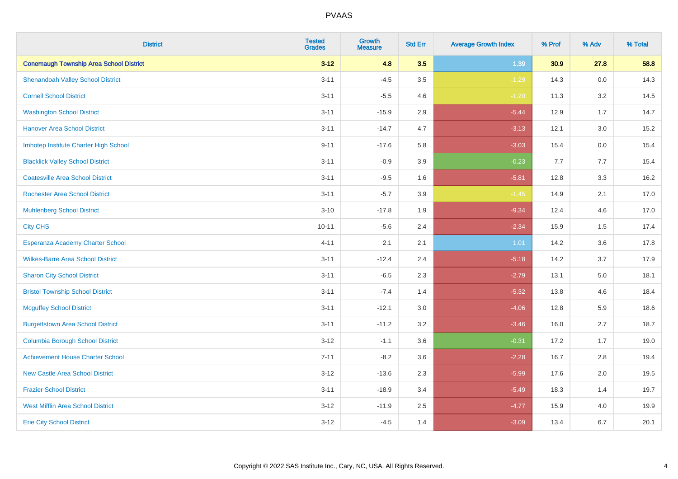| <b>District</b>                                | <b>Tested</b><br><b>Grades</b> | <b>Growth</b><br><b>Measure</b> | <b>Std Err</b> | <b>Average Growth Index</b> | % Prof | % Adv   | % Total |
|------------------------------------------------|--------------------------------|---------------------------------|----------------|-----------------------------|--------|---------|---------|
| <b>Conemaugh Township Area School District</b> | $3 - 12$                       | 4.8                             | 3.5            | 1.39                        | 30.9   | 27.8    | 58.8    |
| <b>Shenandoah Valley School District</b>       | $3 - 11$                       | $-4.5$                          | 3.5            | $-1.29$                     | 14.3   | $0.0\,$ | 14.3    |
| <b>Cornell School District</b>                 | $3 - 11$                       | $-5.5$                          | 4.6            | $-1.20$                     | 11.3   | 3.2     | 14.5    |
| <b>Washington School District</b>              | $3 - 11$                       | $-15.9$                         | 2.9            | $-5.44$                     | 12.9   | 1.7     | 14.7    |
| <b>Hanover Area School District</b>            | $3 - 11$                       | $-14.7$                         | 4.7            | $-3.13$                     | 12.1   | 3.0     | 15.2    |
| Imhotep Institute Charter High School          | $9 - 11$                       | $-17.6$                         | 5.8            | $-3.03$                     | 15.4   | 0.0     | 15.4    |
| <b>Blacklick Valley School District</b>        | $3 - 11$                       | $-0.9$                          | 3.9            | $-0.23$                     | 7.7    | 7.7     | 15.4    |
| <b>Coatesville Area School District</b>        | $3 - 11$                       | $-9.5$                          | 1.6            | $-5.81$                     | 12.8   | 3.3     | 16.2    |
| <b>Rochester Area School District</b>          | $3 - 11$                       | $-5.7$                          | 3.9            | $-1.45$                     | 14.9   | 2.1     | 17.0    |
| <b>Muhlenberg School District</b>              | $3 - 10$                       | $-17.8$                         | 1.9            | $-9.34$                     | 12.4   | 4.6     | 17.0    |
| <b>City CHS</b>                                | $10 - 11$                      | $-5.6$                          | 2.4            | $-2.34$                     | 15.9   | 1.5     | 17.4    |
| Esperanza Academy Charter School               | $4 - 11$                       | 2.1                             | 2.1            | 1.01                        | 14.2   | 3.6     | 17.8    |
| <b>Wilkes-Barre Area School District</b>       | $3 - 11$                       | $-12.4$                         | 2.4            | $-5.18$                     | 14.2   | 3.7     | 17.9    |
| <b>Sharon City School District</b>             | $3 - 11$                       | $-6.5$                          | 2.3            | $-2.79$                     | 13.1   | $5.0\,$ | 18.1    |
| <b>Bristol Township School District</b>        | $3 - 11$                       | $-7.4$                          | 1.4            | $-5.32$                     | 13.8   | 4.6     | 18.4    |
| <b>Mcguffey School District</b>                | $3 - 11$                       | $-12.1$                         | 3.0            | $-4.06$                     | 12.8   | 5.9     | 18.6    |
| <b>Burgettstown Area School District</b>       | $3 - 11$                       | $-11.2$                         | 3.2            | $-3.46$                     | 16.0   | 2.7     | 18.7    |
| <b>Columbia Borough School District</b>        | $3 - 12$                       | $-1.1$                          | 3.6            | $-0.31$                     | 17.2   | 1.7     | 19.0    |
| <b>Achievement House Charter School</b>        | $7 - 11$                       | $-8.2$                          | 3.6            | $-2.28$                     | 16.7   | 2.8     | 19.4    |
| <b>New Castle Area School District</b>         | $3 - 12$                       | $-13.6$                         | 2.3            | $-5.99$                     | 17.6   | 2.0     | 19.5    |
| <b>Frazier School District</b>                 | $3 - 11$                       | $-18.9$                         | 3.4            | $-5.49$                     | 18.3   | 1.4     | 19.7    |
| <b>West Mifflin Area School District</b>       | $3 - 12$                       | $-11.9$                         | 2.5            | $-4.77$                     | 15.9   | 4.0     | 19.9    |
| <b>Erie City School District</b>               | $3 - 12$                       | $-4.5$                          | 1.4            | $-3.09$                     | 13.4   | 6.7     | 20.1    |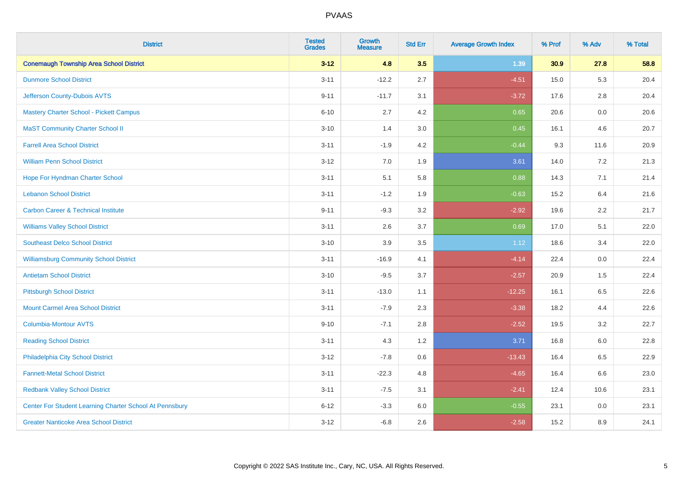| <b>District</b>                                         | <b>Tested</b><br><b>Grades</b> | <b>Growth</b><br><b>Measure</b> | <b>Std Err</b> | <b>Average Growth Index</b> | % Prof | % Adv   | % Total |
|---------------------------------------------------------|--------------------------------|---------------------------------|----------------|-----------------------------|--------|---------|---------|
| <b>Conemaugh Township Area School District</b>          | $3 - 12$                       | 4.8                             | 3.5            | 1.39                        | 30.9   | 27.8    | 58.8    |
| <b>Dunmore School District</b>                          | $3 - 11$                       | $-12.2$                         | 2.7            | $-4.51$                     | 15.0   | 5.3     | 20.4    |
| Jefferson County-Dubois AVTS                            | $9 - 11$                       | $-11.7$                         | 3.1            | $-3.72$                     | 17.6   | 2.8     | 20.4    |
| <b>Mastery Charter School - Pickett Campus</b>          | $6 - 10$                       | 2.7                             | 4.2            | 0.65                        | 20.6   | $0.0\,$ | 20.6    |
| <b>MaST Community Charter School II</b>                 | $3 - 10$                       | 1.4                             | 3.0            | 0.45                        | 16.1   | 4.6     | 20.7    |
| <b>Farrell Area School District</b>                     | $3 - 11$                       | $-1.9$                          | 4.2            | $-0.44$                     | 9.3    | 11.6    | 20.9    |
| <b>William Penn School District</b>                     | $3 - 12$                       | 7.0                             | 1.9            | 3.61                        | 14.0   | 7.2     | 21.3    |
| Hope For Hyndman Charter School                         | $3 - 11$                       | 5.1                             | 5.8            | 0.88                        | 14.3   | 7.1     | 21.4    |
| <b>Lebanon School District</b>                          | $3 - 11$                       | $-1.2$                          | 1.9            | $-0.63$                     | 15.2   | 6.4     | 21.6    |
| <b>Carbon Career &amp; Technical Institute</b>          | $9 - 11$                       | $-9.3$                          | 3.2            | $-2.92$                     | 19.6   | $2.2\,$ | 21.7    |
| <b>Williams Valley School District</b>                  | $3 - 11$                       | 2.6                             | 3.7            | 0.69                        | 17.0   | 5.1     | 22.0    |
| <b>Southeast Delco School District</b>                  | $3 - 10$                       | 3.9                             | 3.5            | $1.12$                      | 18.6   | 3.4     | 22.0    |
| <b>Williamsburg Community School District</b>           | $3 - 11$                       | $-16.9$                         | 4.1            | $-4.14$                     | 22.4   | $0.0\,$ | 22.4    |
| <b>Antietam School District</b>                         | $3 - 10$                       | $-9.5$                          | 3.7            | $-2.57$                     | 20.9   | 1.5     | 22.4    |
| <b>Pittsburgh School District</b>                       | $3 - 11$                       | $-13.0$                         | 1.1            | $-12.25$                    | 16.1   | 6.5     | 22.6    |
| <b>Mount Carmel Area School District</b>                | $3 - 11$                       | $-7.9$                          | 2.3            | $-3.38$                     | 18.2   | 4.4     | 22.6    |
| <b>Columbia-Montour AVTS</b>                            | $9 - 10$                       | $-7.1$                          | 2.8            | $-2.52$                     | 19.5   | 3.2     | 22.7    |
| <b>Reading School District</b>                          | $3 - 11$                       | 4.3                             | 1.2            | 3.71                        | 16.8   | 6.0     | 22.8    |
| Philadelphia City School District                       | $3 - 12$                       | $-7.8$                          | 0.6            | $-13.43$                    | 16.4   | 6.5     | 22.9    |
| <b>Fannett-Metal School District</b>                    | $3 - 11$                       | $-22.3$                         | 4.8            | $-4.65$                     | 16.4   | 6.6     | 23.0    |
| <b>Redbank Valley School District</b>                   | $3 - 11$                       | $-7.5$                          | 3.1            | $-2.41$                     | 12.4   | 10.6    | 23.1    |
| Center For Student Learning Charter School At Pennsbury | $6 - 12$                       | $-3.3$                          | 6.0            | $-0.55$                     | 23.1   | 0.0     | 23.1    |
| <b>Greater Nanticoke Area School District</b>           | $3 - 12$                       | $-6.8$                          | 2.6            | $-2.58$                     | 15.2   | 8.9     | 24.1    |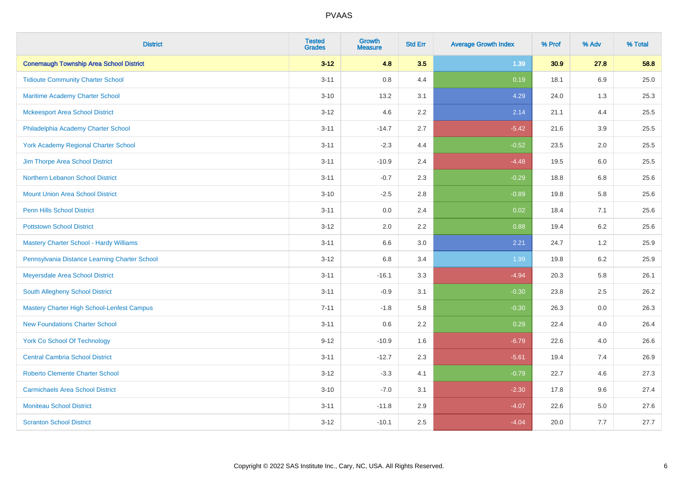| <b>District</b>                                   | <b>Tested</b><br><b>Grades</b> | <b>Growth</b><br><b>Measure</b> | <b>Std Err</b> | <b>Average Growth Index</b> | % Prof | % Adv   | % Total |
|---------------------------------------------------|--------------------------------|---------------------------------|----------------|-----------------------------|--------|---------|---------|
| <b>Conemaugh Township Area School District</b>    | $3 - 12$                       | 4.8                             | 3.5            | 1.39                        | 30.9   | 27.8    | 58.8    |
| <b>Tidioute Community Charter School</b>          | $3 - 11$                       | $0.8\,$                         | 4.4            | 0.19                        | 18.1   | $6.9\,$ | 25.0    |
| Maritime Academy Charter School                   | $3 - 10$                       | 13.2                            | 3.1            | 4.29                        | 24.0   | 1.3     | 25.3    |
| <b>Mckeesport Area School District</b>            | $3 - 12$                       | 4.6                             | 2.2            | 2.14                        | 21.1   | 4.4     | 25.5    |
| Philadelphia Academy Charter School               | $3 - 11$                       | $-14.7$                         | 2.7            | $-5.42$                     | 21.6   | 3.9     | 25.5    |
| York Academy Regional Charter School              | $3 - 11$                       | $-2.3$                          | 4.4            | $-0.52$                     | 23.5   | 2.0     | 25.5    |
| Jim Thorpe Area School District                   | $3 - 11$                       | $-10.9$                         | 2.4            | $-4.48$                     | 19.5   | 6.0     | 25.5    |
| Northern Lebanon School District                  | $3 - 11$                       | $-0.7$                          | 2.3            | $-0.29$                     | 18.8   | 6.8     | 25.6    |
| <b>Mount Union Area School District</b>           | $3 - 10$                       | $-2.5$                          | 2.8            | $-0.89$                     | 19.8   | 5.8     | 25.6    |
| Penn Hills School District                        | $3 - 11$                       | 0.0                             | 2.4            | 0.02                        | 18.4   | 7.1     | 25.6    |
| <b>Pottstown School District</b>                  | $3 - 12$                       | 2.0                             | 2.2            | 0.88                        | 19.4   | 6.2     | 25.6    |
| <b>Mastery Charter School - Hardy Williams</b>    | $3 - 11$                       | 6.6                             | 3.0            | 2.21                        | 24.7   | 1.2     | 25.9    |
| Pennsylvania Distance Learning Charter School     | $3 - 12$                       | 6.8                             | 3.4            | 1.99                        | 19.8   | $6.2\,$ | 25.9    |
| Meyersdale Area School District                   | $3 - 11$                       | $-16.1$                         | 3.3            | $-4.94$                     | 20.3   | 5.8     | 26.1    |
| <b>South Allegheny School District</b>            | $3 - 11$                       | $-0.9$                          | 3.1            | $-0.30$                     | 23.8   | 2.5     | 26.2    |
| <b>Mastery Charter High School-Lenfest Campus</b> | $7 - 11$                       | $-1.8$                          | 5.8            | $-0.30$                     | 26.3   | 0.0     | 26.3    |
| <b>New Foundations Charter School</b>             | $3 - 11$                       | 0.6                             | 2.2            | 0.29                        | 22.4   | 4.0     | 26.4    |
| <b>York Co School Of Technology</b>               | $9 - 12$                       | $-10.9$                         | 1.6            | $-6.79$                     | 22.6   | 4.0     | 26.6    |
| <b>Central Cambria School District</b>            | $3 - 11$                       | $-12.7$                         | 2.3            | $-5.61$                     | 19.4   | 7.4     | 26.9    |
| <b>Roberto Clemente Charter School</b>            | $3 - 12$                       | $-3.3$                          | 4.1            | $-0.79$                     | 22.7   | 4.6     | 27.3    |
| <b>Carmichaels Area School District</b>           | $3 - 10$                       | $-7.0$                          | 3.1            | $-2.30$                     | 17.8   | 9.6     | 27.4    |
| <b>Moniteau School District</b>                   | $3 - 11$                       | $-11.8$                         | 2.9            | $-4.07$                     | 22.6   | 5.0     | 27.6    |
| <b>Scranton School District</b>                   | $3 - 12$                       | $-10.1$                         | 2.5            | $-4.04$                     | 20.0   | 7.7     | 27.7    |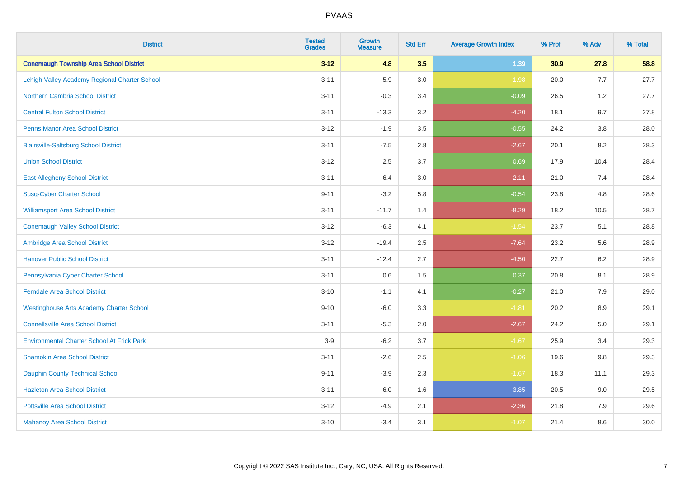| <b>District</b>                                   | <b>Tested</b><br><b>Grades</b> | <b>Growth</b><br><b>Measure</b> | <b>Std Err</b> | <b>Average Growth Index</b> | % Prof | % Adv   | % Total |
|---------------------------------------------------|--------------------------------|---------------------------------|----------------|-----------------------------|--------|---------|---------|
| <b>Conemaugh Township Area School District</b>    | $3 - 12$                       | 4.8                             | 3.5            | 1.39                        | 30.9   | 27.8    | 58.8    |
| Lehigh Valley Academy Regional Charter School     | $3 - 11$                       | $-5.9$                          | 3.0            | $-1.98$                     | 20.0   | 7.7     | 27.7    |
| <b>Northern Cambria School District</b>           | $3 - 11$                       | $-0.3$                          | 3.4            | $-0.09$                     | 26.5   | 1.2     | 27.7    |
| <b>Central Fulton School District</b>             | $3 - 11$                       | $-13.3$                         | 3.2            | $-4.20$                     | 18.1   | 9.7     | 27.8    |
| <b>Penns Manor Area School District</b>           | $3 - 12$                       | $-1.9$                          | 3.5            | $-0.55$                     | 24.2   | 3.8     | 28.0    |
| <b>Blairsville-Saltsburg School District</b>      | $3 - 11$                       | $-7.5$                          | 2.8            | $-2.67$                     | 20.1   | 8.2     | 28.3    |
| <b>Union School District</b>                      | $3 - 12$                       | 2.5                             | 3.7            | 0.69                        | 17.9   | 10.4    | 28.4    |
| <b>East Allegheny School District</b>             | $3 - 11$                       | $-6.4$                          | 3.0            | $-2.11$                     | 21.0   | 7.4     | 28.4    |
| <b>Susq-Cyber Charter School</b>                  | $9 - 11$                       | $-3.2$                          | 5.8            | $-0.54$                     | 23.8   | 4.8     | 28.6    |
| <b>Williamsport Area School District</b>          | $3 - 11$                       | $-11.7$                         | 1.4            | $-8.29$                     | 18.2   | 10.5    | 28.7    |
| <b>Conemaugh Valley School District</b>           | $3 - 12$                       | $-6.3$                          | 4.1            | $-1.54$                     | 23.7   | 5.1     | 28.8    |
| Ambridge Area School District                     | $3 - 12$                       | $-19.4$                         | 2.5            | $-7.64$                     | 23.2   | 5.6     | 28.9    |
| <b>Hanover Public School District</b>             | $3 - 11$                       | $-12.4$                         | 2.7            | $-4.50$                     | 22.7   | $6.2\,$ | 28.9    |
| Pennsylvania Cyber Charter School                 | $3 - 11$                       | 0.6                             | 1.5            | 0.37                        | 20.8   | 8.1     | 28.9    |
| <b>Ferndale Area School District</b>              | $3 - 10$                       | $-1.1$                          | 4.1            | $-0.27$                     | 21.0   | 7.9     | 29.0    |
| <b>Westinghouse Arts Academy Charter School</b>   | $9 - 10$                       | $-6.0$                          | 3.3            | $-1.81$                     | 20.2   | $8.9\,$ | 29.1    |
| <b>Connellsville Area School District</b>         | $3 - 11$                       | $-5.3$                          | 2.0            | $-2.67$                     | 24.2   | 5.0     | 29.1    |
| <b>Environmental Charter School At Frick Park</b> | $3-9$                          | $-6.2$                          | 3.7            | $-1.67$                     | 25.9   | 3.4     | 29.3    |
| <b>Shamokin Area School District</b>              | $3 - 11$                       | $-2.6$                          | 2.5            | $-1.06$                     | 19.6   | 9.8     | 29.3    |
| <b>Dauphin County Technical School</b>            | $9 - 11$                       | $-3.9$                          | 2.3            | $-1.67$                     | 18.3   | 11.1    | 29.3    |
| <b>Hazleton Area School District</b>              | $3 - 11$                       | 6.0                             | 1.6            | 3.85                        | 20.5   | 9.0     | 29.5    |
| <b>Pottsville Area School District</b>            | $3 - 12$                       | $-4.9$                          | 2.1            | $-2.36$                     | 21.8   | 7.9     | 29.6    |
| <b>Mahanoy Area School District</b>               | $3 - 10$                       | $-3.4$                          | 3.1            | $-1.07$                     | 21.4   | 8.6     | 30.0    |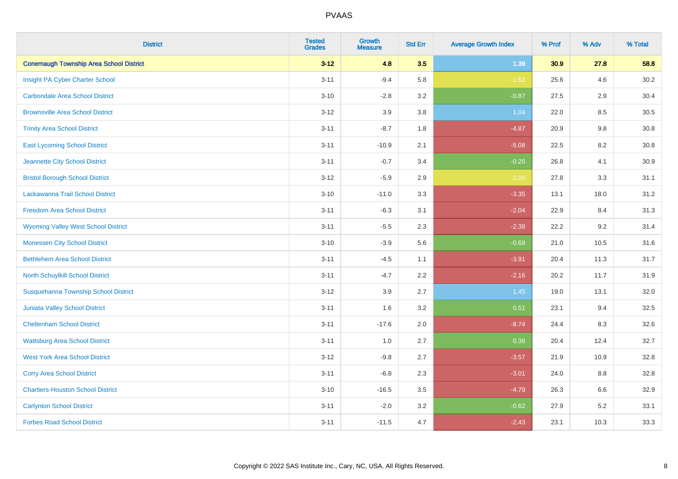| <b>District</b>                                | <b>Tested</b><br><b>Grades</b> | <b>Growth</b><br><b>Measure</b> | <b>Std Err</b> | <b>Average Growth Index</b> | % Prof | % Adv | % Total |
|------------------------------------------------|--------------------------------|---------------------------------|----------------|-----------------------------|--------|-------|---------|
| <b>Conemaugh Township Area School District</b> | $3 - 12$                       | 4.8                             | 3.5            | 1.39                        | 30.9   | 27.8  | 58.8    |
| Insight PA Cyber Charter School                | $3 - 11$                       | $-9.4$                          | 5.8            | $-1.62$                     | 25.6   | 4.6   | 30.2    |
| <b>Carbondale Area School District</b>         | $3 - 10$                       | $-2.8$                          | 3.2            | $-0.87$                     | 27.5   | 2.9   | 30.4    |
| <b>Brownsville Area School District</b>        | $3 - 12$                       | 3.9                             | 3.8            | 1.04                        | 22.0   | 8.5   | 30.5    |
| <b>Trinity Area School District</b>            | $3 - 11$                       | $-8.7$                          | 1.8            | $-4.87$                     | 20.9   | 9.8   | 30.8    |
| <b>East Lycoming School District</b>           | $3 - 11$                       | $-10.9$                         | 2.1            | $-5.08$                     | 22.5   | 8.2   | 30.8    |
| Jeannette City School District                 | $3 - 11$                       | $-0.7$                          | 3.4            | $-0.20$                     | 26.8   | 4.1   | 30.9    |
| <b>Bristol Borough School District</b>         | $3 - 12$                       | $-5.9$                          | 2.9            | $-2.00$                     | 27.8   | 3.3   | 31.1    |
| Lackawanna Trail School District               | $3 - 10$                       | $-11.0$                         | 3.3            | $-3.35$                     | 13.1   | 18.0  | 31.2    |
| <b>Freedom Area School District</b>            | $3 - 11$                       | $-6.3$                          | 3.1            | $-2.04$                     | 22.9   | 8.4   | 31.3    |
| <b>Wyoming Valley West School District</b>     | $3 - 11$                       | $-5.5$                          | 2.3            | $-2.38$                     | 22.2   | 9.2   | 31.4    |
| <b>Monessen City School District</b>           | $3 - 10$                       | $-3.9$                          | 5.6            | $-0.69$                     | 21.0   | 10.5  | 31.6    |
| <b>Bethlehem Area School District</b>          | $3 - 11$                       | $-4.5$                          | 1.1            | $-3.91$                     | 20.4   | 11.3  | 31.7    |
| North Schuylkill School District               | $3 - 11$                       | $-4.7$                          | 2.2            | $-2.16$                     | 20.2   | 11.7  | 31.9    |
| Susquehanna Township School District           | $3 - 12$                       | 3.9                             | 2.7            | 1.45                        | 19.0   | 13.1  | 32.0    |
| Juniata Valley School District                 | $3 - 11$                       | 1.6                             | 3.2            | 0.51                        | 23.1   | 9.4   | 32.5    |
| <b>Cheltenham School District</b>              | $3 - 11$                       | $-17.6$                         | 2.0            | $-8.74$                     | 24.4   | 8.3   | 32.6    |
| <b>Wattsburg Area School District</b>          | $3 - 11$                       | 1.0                             | 2.7            | 0.36                        | 20.4   | 12.4  | 32.7    |
| <b>West York Area School District</b>          | $3 - 12$                       | $-9.8$                          | 2.7            | $-3.57$                     | 21.9   | 10.9  | 32.8    |
| <b>Corry Area School District</b>              | $3 - 11$                       | $-6.8$                          | 2.3            | $-3.01$                     | 24.0   | 8.8   | 32.8    |
| <b>Chartiers-Houston School District</b>       | $3 - 10$                       | $-16.5$                         | 3.5            | $-4.79$                     | 26.3   | 6.6   | 32.9    |
| <b>Carlynton School District</b>               | $3 - 11$                       | $-2.0$                          | 3.2            | $-0.62$                     | 27.9   | 5.2   | 33.1    |
| <b>Forbes Road School District</b>             | $3 - 11$                       | $-11.5$                         | 4.7            | $-2.43$                     | 23.1   | 10.3  | 33.3    |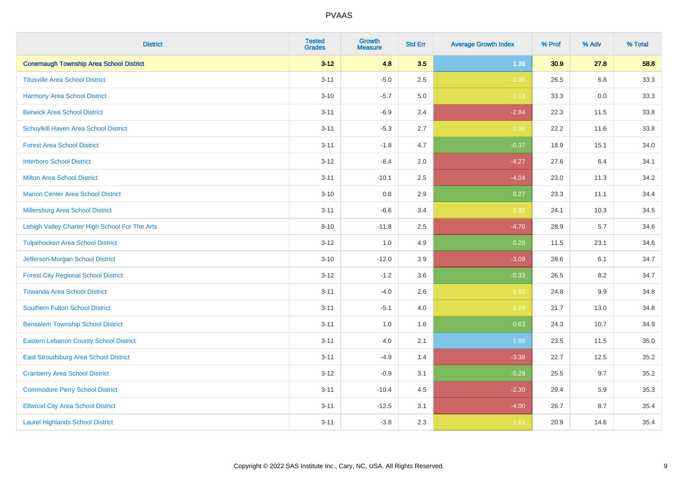| <b>District</b>                                | <b>Tested</b><br><b>Grades</b> | <b>Growth</b><br><b>Measure</b> | <b>Std Err</b> | <b>Average Growth Index</b> | % Prof | % Adv | % Total |
|------------------------------------------------|--------------------------------|---------------------------------|----------------|-----------------------------|--------|-------|---------|
| <b>Conemaugh Township Area School District</b> | $3 - 12$                       | 4.8                             | 3.5            | 1.39                        | 30.9   | 27.8  | 58.8    |
| <b>Titusville Area School District</b>         | $3 - 11$                       | $-5.0$                          | 2.5            | $-1.98$                     | 26.5   | 6.8   | 33.3    |
| Harmony Area School District                   | $3 - 10$                       | $-5.7$                          | 5.0            | $-1.13$                     | 33.3   | 0.0   | 33.3    |
| <b>Berwick Area School District</b>            | $3 - 11$                       | $-6.9$                          | 2.4            | $-2.84$                     | 22.3   | 11.5  | 33.8    |
| Schuylkill Haven Area School District          | $3 - 11$                       | $-5.3$                          | 2.7            | $-1.96$                     | 22.2   | 11.6  | 33.8    |
| <b>Forest Area School District</b>             | $3 - 11$                       | $-1.8$                          | 4.7            | $-0.37$                     | 18.9   | 15.1  | 34.0    |
| <b>Interboro School District</b>               | $3 - 12$                       | $-8.4$                          | 2.0            | $-4.27$                     | 27.6   | 6.4   | 34.1    |
| <b>Milton Area School District</b>             | $3 - 11$                       | $-10.1$                         | 2.5            | $-4.04$                     | 23.0   | 11.3  | 34.2    |
| <b>Marion Center Area School District</b>      | $3 - 10$                       | 0.8                             | 2.9            | 0.27                        | 23.3   | 11.1  | 34.4    |
| <b>Millersburg Area School District</b>        | $3 - 11$                       | $-6.6$                          | 3.4            | $-1.92$                     | 24.1   | 10.3  | 34.5    |
| Lehigh Valley Charter High School For The Arts | $9 - 10$                       | $-11.8$                         | 2.5            | $-4.76$                     | 28.9   | 5.7   | 34.6    |
| <b>Tulpehocken Area School District</b>        | $3 - 12$                       | 1.0                             | 4.9            | 0.20                        | 11.5   | 23.1  | 34.6    |
| Jefferson-Morgan School District               | $3 - 10$                       | $-12.0$                         | 3.9            | $-3.09$                     | 28.6   | 6.1   | 34.7    |
| <b>Forest City Regional School District</b>    | $3 - 12$                       | $-1.2$                          | 3.6            | $-0.33$                     | 26.5   | 8.2   | 34.7    |
| <b>Towanda Area School District</b>            | $3 - 11$                       | $-4.0$                          | 2.6            | $-1.52$                     | 24.8   | 9.9   | 34.8    |
| <b>Southern Fulton School District</b>         | $3 - 11$                       | $-5.1$                          | 4.0            | $-1.29$                     | 21.7   | 13.0  | 34.8    |
| <b>Bensalem Township School District</b>       | $3 - 11$                       | 1.0                             | 1.6            | 0.63                        | 24.3   | 10.7  | 34.9    |
| <b>Eastern Lebanon County School District</b>  | $3 - 11$                       | 4.0                             | 2.1            | 1.89                        | 23.5   | 11.5  | 35.0    |
| East Stroudsburg Area School District          | $3 - 11$                       | $-4.9$                          | 1.4            | $-3.38$                     | 22.7   | 12.5  | 35.2    |
| <b>Cranberry Area School District</b>          | $3 - 12$                       | $-0.9$                          | 3.1            | $-0.29$                     | 25.5   | 9.7   | 35.2    |
| <b>Commodore Perry School District</b>         | $3 - 11$                       | $-10.4$                         | 4.5            | $-2.30$                     | 29.4   | 5.9   | 35.3    |
| <b>Ellwood City Area School District</b>       | $3 - 11$                       | $-12.5$                         | 3.1            | $-4.00$                     | 26.7   | 8.7   | 35.4    |
| <b>Laurel Highlands School District</b>        | $3 - 11$                       | $-3.8$                          | 2.3            | $-1.63$                     | 20.9   | 14.6  | 35.4    |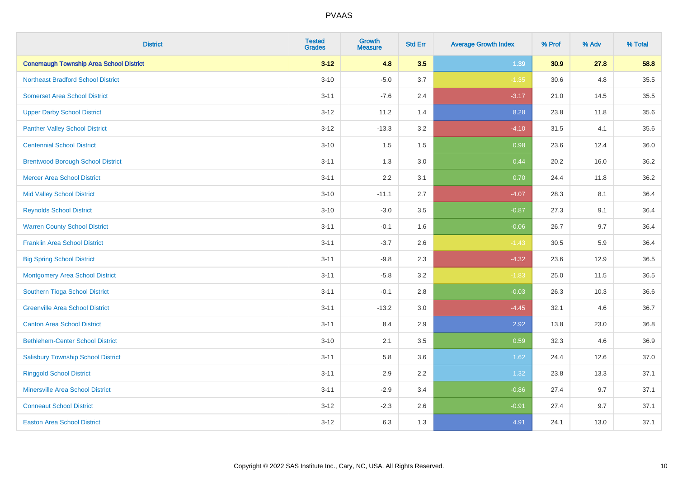| <b>District</b>                                | <b>Tested</b><br><b>Grades</b> | <b>Growth</b><br><b>Measure</b> | <b>Std Err</b> | <b>Average Growth Index</b> | % Prof | % Adv | % Total |
|------------------------------------------------|--------------------------------|---------------------------------|----------------|-----------------------------|--------|-------|---------|
| <b>Conemaugh Township Area School District</b> | $3 - 12$                       | 4.8                             | 3.5            | 1.39                        | 30.9   | 27.8  | 58.8    |
| <b>Northeast Bradford School District</b>      | $3 - 10$                       | $-5.0$                          | 3.7            | $-1.35$                     | 30.6   | 4.8   | 35.5    |
| <b>Somerset Area School District</b>           | $3 - 11$                       | $-7.6$                          | 2.4            | $-3.17$                     | 21.0   | 14.5  | 35.5    |
| <b>Upper Darby School District</b>             | $3 - 12$                       | 11.2                            | 1.4            | 8.28                        | 23.8   | 11.8  | 35.6    |
| <b>Panther Valley School District</b>          | $3-12$                         | $-13.3$                         | 3.2            | $-4.10$                     | 31.5   | 4.1   | 35.6    |
| <b>Centennial School District</b>              | $3 - 10$                       | 1.5                             | 1.5            | 0.98                        | 23.6   | 12.4  | 36.0    |
| <b>Brentwood Borough School District</b>       | $3 - 11$                       | 1.3                             | 3.0            | 0.44                        | 20.2   | 16.0  | 36.2    |
| <b>Mercer Area School District</b>             | $3 - 11$                       | 2.2                             | 3.1            | 0.70                        | 24.4   | 11.8  | 36.2    |
| <b>Mid Valley School District</b>              | $3 - 10$                       | $-11.1$                         | 2.7            | $-4.07$                     | 28.3   | 8.1   | 36.4    |
| <b>Reynolds School District</b>                | $3 - 10$                       | $-3.0$                          | 3.5            | $-0.87$                     | 27.3   | 9.1   | 36.4    |
| <b>Warren County School District</b>           | $3 - 11$                       | $-0.1$                          | 1.6            | $-0.06$                     | 26.7   | 9.7   | 36.4    |
| <b>Franklin Area School District</b>           | $3 - 11$                       | $-3.7$                          | 2.6            | $-1.43$                     | 30.5   | 5.9   | 36.4    |
| <b>Big Spring School District</b>              | $3 - 11$                       | $-9.8$                          | 2.3            | $-4.32$                     | 23.6   | 12.9  | 36.5    |
| <b>Montgomery Area School District</b>         | $3 - 11$                       | $-5.8$                          | 3.2            | $-1.83$                     | 25.0   | 11.5  | 36.5    |
| Southern Tioga School District                 | $3 - 11$                       | $-0.1$                          | 2.8            | $-0.03$                     | 26.3   | 10.3  | 36.6    |
| <b>Greenville Area School District</b>         | $3 - 11$                       | $-13.2$                         | 3.0            | $-4.45$                     | 32.1   | 4.6   | 36.7    |
| <b>Canton Area School District</b>             | $3 - 11$                       | 8.4                             | 2.9            | 2.92                        | 13.8   | 23.0  | 36.8    |
| <b>Bethlehem-Center School District</b>        | $3 - 10$                       | 2.1                             | 3.5            | 0.59                        | 32.3   | 4.6   | 36.9    |
| <b>Salisbury Township School District</b>      | $3 - 11$                       | 5.8                             | 3.6            | 1.62                        | 24.4   | 12.6  | 37.0    |
| <b>Ringgold School District</b>                | $3 - 11$                       | 2.9                             | 2.2            | 1.32                        | 23.8   | 13.3  | 37.1    |
| <b>Minersville Area School District</b>        | $3 - 11$                       | $-2.9$                          | 3.4            | $-0.86$                     | 27.4   | 9.7   | 37.1    |
| <b>Conneaut School District</b>                | $3-12$                         | $-2.3$                          | 2.6            | $-0.91$                     | 27.4   | 9.7   | 37.1    |
| <b>Easton Area School District</b>             | $3 - 12$                       | 6.3                             | 1.3            | 4.91                        | 24.1   | 13.0  | 37.1    |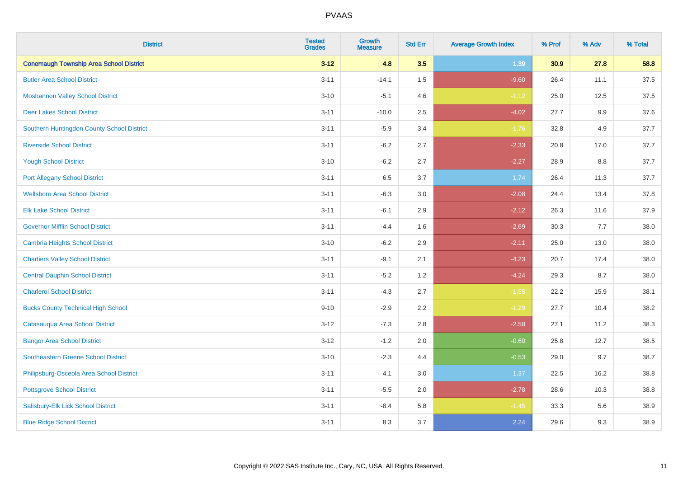| <b>District</b>                                | <b>Tested</b><br><b>Grades</b> | <b>Growth</b><br><b>Measure</b> | <b>Std Err</b> | <b>Average Growth Index</b> | % Prof | % Adv | % Total |
|------------------------------------------------|--------------------------------|---------------------------------|----------------|-----------------------------|--------|-------|---------|
| <b>Conemaugh Township Area School District</b> | $3 - 12$                       | 4.8                             | 3.5            | 1.39                        | 30.9   | 27.8  | 58.8    |
| <b>Butler Area School District</b>             | $3 - 11$                       | $-14.1$                         | 1.5            | $-9.60$                     | 26.4   | 11.1  | 37.5    |
| <b>Moshannon Valley School District</b>        | $3 - 10$                       | $-5.1$                          | 4.6            | $-1.12$                     | 25.0   | 12.5  | 37.5    |
| <b>Deer Lakes School District</b>              | $3 - 11$                       | $-10.0$                         | 2.5            | $-4.02$                     | 27.7   | 9.9   | 37.6    |
| Southern Huntingdon County School District     | $3 - 11$                       | $-5.9$                          | 3.4            | $-1.76$                     | 32.8   | 4.9   | 37.7    |
| <b>Riverside School District</b>               | $3 - 11$                       | $-6.2$                          | 2.7            | $-2.33$                     | 20.8   | 17.0  | 37.7    |
| <b>Yough School District</b>                   | $3 - 10$                       | $-6.2$                          | 2.7            | $-2.27$                     | 28.9   | 8.8   | 37.7    |
| <b>Port Allegany School District</b>           | $3 - 11$                       | 6.5                             | 3.7            | 1.74                        | 26.4   | 11.3  | 37.7    |
| <b>Wellsboro Area School District</b>          | $3 - 11$                       | $-6.3$                          | 3.0            | $-2.08$                     | 24.4   | 13.4  | 37.8    |
| <b>Elk Lake School District</b>                | $3 - 11$                       | $-6.1$                          | 2.9            | $-2.12$                     | 26.3   | 11.6  | 37.9    |
| <b>Governor Mifflin School District</b>        | $3 - 11$                       | $-4.4$                          | 1.6            | $-2.69$                     | 30.3   | 7.7   | 38.0    |
| <b>Cambria Heights School District</b>         | $3 - 10$                       | $-6.2$                          | 2.9            | $-2.11$                     | 25.0   | 13.0  | 38.0    |
| <b>Chartiers Valley School District</b>        | $3 - 11$                       | $-9.1$                          | 2.1            | $-4.23$                     | 20.7   | 17.4  | 38.0    |
| <b>Central Dauphin School District</b>         | $3 - 11$                       | $-5.2$                          | 1.2            | $-4.24$                     | 29.3   | 8.7   | 38.0    |
| <b>Charleroi School District</b>               | $3 - 11$                       | $-4.3$                          | 2.7            | $-1.55$                     | 22.2   | 15.9  | 38.1    |
| <b>Bucks County Technical High School</b>      | $9 - 10$                       | $-2.9$                          | 2.2            | $-1.29$                     | 27.7   | 10.4  | 38.2    |
| Catasauqua Area School District                | $3 - 12$                       | $-7.3$                          | 2.8            | $-2.58$                     | 27.1   | 11.2  | 38.3    |
| <b>Bangor Area School District</b>             | $3 - 12$                       | $-1.2$                          | 2.0            | $-0.60$                     | 25.8   | 12.7  | 38.5    |
| <b>Southeastern Greene School District</b>     | $3 - 10$                       | $-2.3$                          | 4.4            | $-0.53$                     | 29.0   | 9.7   | 38.7    |
| Philipsburg-Osceola Area School District       | $3 - 11$                       | 4.1                             | 3.0            | 1.37                        | 22.5   | 16.2  | 38.8    |
| <b>Pottsgrove School District</b>              | $3 - 11$                       | $-5.5$                          | 2.0            | $-2.78$                     | 28.6   | 10.3  | 38.8    |
| Salisbury-Elk Lick School District             | $3 - 11$                       | $-8.4$                          | 5.8            | $-1.45$                     | 33.3   | 5.6   | 38.9    |
| <b>Blue Ridge School District</b>              | $3 - 11$                       | 8.3                             | 3.7            | 2.24                        | 29.6   | 9.3   | 38.9    |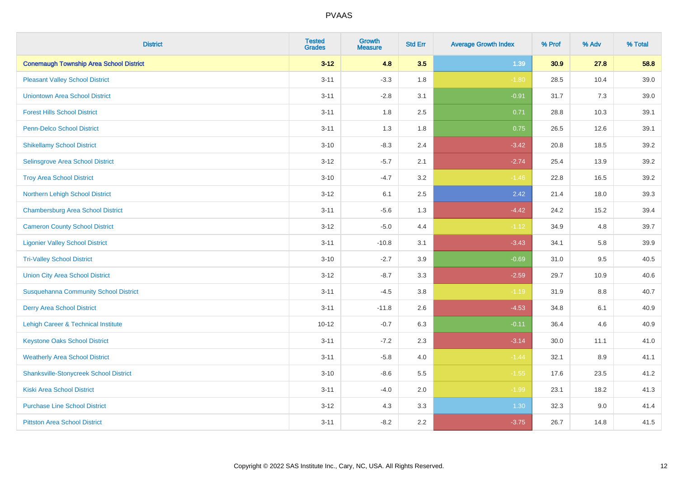| <b>District</b>                                | <b>Tested</b><br><b>Grades</b> | <b>Growth</b><br><b>Measure</b> | <b>Std Err</b> | <b>Average Growth Index</b> | % Prof | % Adv   | % Total |
|------------------------------------------------|--------------------------------|---------------------------------|----------------|-----------------------------|--------|---------|---------|
| <b>Conemaugh Township Area School District</b> | $3 - 12$                       | 4.8                             | 3.5            | 1.39                        | 30.9   | 27.8    | 58.8    |
| <b>Pleasant Valley School District</b>         | $3 - 11$                       | $-3.3$                          | 1.8            | $-1.80$                     | 28.5   | 10.4    | 39.0    |
| <b>Uniontown Area School District</b>          | $3 - 11$                       | $-2.8$                          | 3.1            | $-0.91$                     | 31.7   | 7.3     | 39.0    |
| <b>Forest Hills School District</b>            | $3 - 11$                       | 1.8                             | 2.5            | 0.71                        | 28.8   | 10.3    | 39.1    |
| <b>Penn-Delco School District</b>              | $3 - 11$                       | 1.3                             | 1.8            | 0.75                        | 26.5   | 12.6    | 39.1    |
| <b>Shikellamy School District</b>              | $3 - 10$                       | $-8.3$                          | 2.4            | $-3.42$                     | 20.8   | 18.5    | 39.2    |
| Selinsgrove Area School District               | $3 - 12$                       | $-5.7$                          | 2.1            | $-2.74$                     | 25.4   | 13.9    | 39.2    |
| <b>Troy Area School District</b>               | $3 - 10$                       | $-4.7$                          | 3.2            | $-1.46$                     | 22.8   | 16.5    | 39.2    |
| Northern Lehigh School District                | $3 - 12$                       | 6.1                             | 2.5            | 2.42                        | 21.4   | 18.0    | 39.3    |
| <b>Chambersburg Area School District</b>       | $3 - 11$                       | $-5.6$                          | 1.3            | $-4.42$                     | 24.2   | 15.2    | 39.4    |
| <b>Cameron County School District</b>          | $3 - 12$                       | $-5.0$                          | 4.4            | $-1.12$                     | 34.9   | 4.8     | 39.7    |
| <b>Ligonier Valley School District</b>         | $3 - 11$                       | $-10.8$                         | 3.1            | $-3.43$                     | 34.1   | 5.8     | 39.9    |
| <b>Tri-Valley School District</b>              | $3 - 10$                       | $-2.7$                          | 3.9            | $-0.69$                     | 31.0   | 9.5     | 40.5    |
| <b>Union City Area School District</b>         | $3 - 12$                       | $-8.7$                          | 3.3            | $-2.59$                     | 29.7   | 10.9    | 40.6    |
| <b>Susquehanna Community School District</b>   | $3 - 11$                       | $-4.5$                          | 3.8            | $-1.19$                     | 31.9   | 8.8     | 40.7    |
| <b>Derry Area School District</b>              | $3 - 11$                       | $-11.8$                         | 2.6            | $-4.53$                     | 34.8   | 6.1     | 40.9    |
| Lehigh Career & Technical Institute            | $10 - 12$                      | $-0.7$                          | 6.3            | $-0.11$                     | 36.4   | 4.6     | 40.9    |
| <b>Keystone Oaks School District</b>           | $3 - 11$                       | $-7.2$                          | 2.3            | $-3.14$                     | 30.0   | 11.1    | 41.0    |
| <b>Weatherly Area School District</b>          | $3 - 11$                       | $-5.8$                          | 4.0            | $-1.44$                     | 32.1   | $8.9\,$ | 41.1    |
| <b>Shanksville-Stonycreek School District</b>  | $3 - 10$                       | $-8.6$                          | 5.5            | $-1.55$                     | 17.6   | 23.5    | 41.2    |
| <b>Kiski Area School District</b>              | $3 - 11$                       | $-4.0$                          | 2.0            | $-1.99$                     | 23.1   | 18.2    | 41.3    |
| <b>Purchase Line School District</b>           | $3 - 12$                       | 4.3                             | 3.3            | 1.30                        | 32.3   | 9.0     | 41.4    |
| <b>Pittston Area School District</b>           | $3 - 11$                       | $-8.2$                          | 2.2            | $-3.75$                     | 26.7   | 14.8    | 41.5    |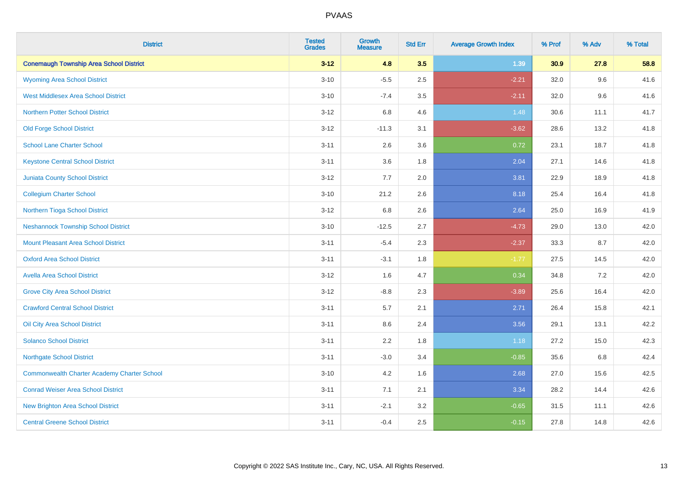| <b>District</b>                                    | <b>Tested</b><br><b>Grades</b> | <b>Growth</b><br><b>Measure</b> | <b>Std Err</b> | <b>Average Growth Index</b> | % Prof | % Adv | % Total |
|----------------------------------------------------|--------------------------------|---------------------------------|----------------|-----------------------------|--------|-------|---------|
| <b>Conemaugh Township Area School District</b>     | $3 - 12$                       | 4.8                             | 3.5            | 1.39                        | 30.9   | 27.8  | 58.8    |
| <b>Wyoming Area School District</b>                | $3 - 10$                       | $-5.5$                          | 2.5            | $-2.21$                     | 32.0   | 9.6   | 41.6    |
| <b>West Middlesex Area School District</b>         | $3 - 10$                       | $-7.4$                          | 3.5            | $-2.11$                     | 32.0   | 9.6   | 41.6    |
| <b>Northern Potter School District</b>             | $3 - 12$                       | 6.8                             | 4.6            | 1.48                        | 30.6   | 11.1  | 41.7    |
| <b>Old Forge School District</b>                   | $3 - 12$                       | $-11.3$                         | 3.1            | $-3.62$                     | 28.6   | 13.2  | 41.8    |
| <b>School Lane Charter School</b>                  | $3 - 11$                       | 2.6                             | 3.6            | 0.72                        | 23.1   | 18.7  | 41.8    |
| <b>Keystone Central School District</b>            | $3 - 11$                       | 3.6                             | 1.8            | 2.04                        | 27.1   | 14.6  | 41.8    |
| <b>Juniata County School District</b>              | $3 - 12$                       | 7.7                             | 2.0            | 3.81                        | 22.9   | 18.9  | 41.8    |
| <b>Collegium Charter School</b>                    | $3 - 10$                       | 21.2                            | 2.6            | 8.18                        | 25.4   | 16.4  | 41.8    |
| Northern Tioga School District                     | $3-12$                         | 6.8                             | 2.6            | 2.64                        | 25.0   | 16.9  | 41.9    |
| <b>Neshannock Township School District</b>         | $3 - 10$                       | $-12.5$                         | 2.7            | $-4.73$                     | 29.0   | 13.0  | 42.0    |
| <b>Mount Pleasant Area School District</b>         | $3 - 11$                       | $-5.4$                          | 2.3            | $-2.37$                     | 33.3   | 8.7   | 42.0    |
| <b>Oxford Area School District</b>                 | $3 - 11$                       | $-3.1$                          | 1.8            | $-1.77$                     | 27.5   | 14.5  | 42.0    |
| <b>Avella Area School District</b>                 | $3 - 12$                       | 1.6                             | 4.7            | 0.34                        | 34.8   | 7.2   | 42.0    |
| <b>Grove City Area School District</b>             | $3 - 12$                       | $-8.8$                          | 2.3            | $-3.89$                     | 25.6   | 16.4  | 42.0    |
| <b>Crawford Central School District</b>            | $3 - 11$                       | 5.7                             | 2.1            | 2.71                        | 26.4   | 15.8  | 42.1    |
| Oil City Area School District                      | $3 - 11$                       | 8.6                             | 2.4            | 3.56                        | 29.1   | 13.1  | 42.2    |
| <b>Solanco School District</b>                     | $3 - 11$                       | 2.2                             | 1.8            | 1.18                        | 27.2   | 15.0  | 42.3    |
| <b>Northgate School District</b>                   | $3 - 11$                       | $-3.0$                          | 3.4            | $-0.85$                     | 35.6   | 6.8   | 42.4    |
| <b>Commonwealth Charter Academy Charter School</b> | $3 - 10$                       | 4.2                             | 1.6            | 2.68                        | 27.0   | 15.6  | 42.5    |
| <b>Conrad Weiser Area School District</b>          | $3 - 11$                       | 7.1                             | 2.1            | 3.34                        | 28.2   | 14.4  | 42.6    |
| <b>New Brighton Area School District</b>           | $3 - 11$                       | $-2.1$                          | 3.2            | $-0.65$                     | 31.5   | 11.1  | 42.6    |
| <b>Central Greene School District</b>              | $3 - 11$                       | $-0.4$                          | 2.5            | $-0.15$                     | 27.8   | 14.8  | 42.6    |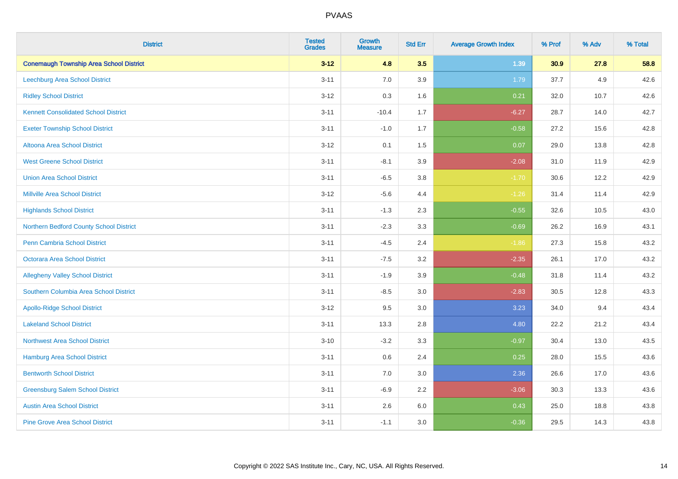| <b>District</b>                                | <b>Tested</b><br><b>Grades</b> | <b>Growth</b><br><b>Measure</b> | <b>Std Err</b> | <b>Average Growth Index</b> | % Prof | % Adv | % Total |
|------------------------------------------------|--------------------------------|---------------------------------|----------------|-----------------------------|--------|-------|---------|
| <b>Conemaugh Township Area School District</b> | $3 - 12$                       | 4.8                             | 3.5            | 1.39                        | 30.9   | 27.8  | 58.8    |
| <b>Leechburg Area School District</b>          | $3 - 11$                       | 7.0                             | 3.9            | 1.79                        | 37.7   | 4.9   | 42.6    |
| <b>Ridley School District</b>                  | $3 - 12$                       | 0.3                             | 1.6            | 0.21                        | 32.0   | 10.7  | 42.6    |
| <b>Kennett Consolidated School District</b>    | $3 - 11$                       | $-10.4$                         | 1.7            | $-6.27$                     | 28.7   | 14.0  | 42.7    |
| <b>Exeter Township School District</b>         | $3 - 11$                       | $-1.0$                          | 1.7            | $-0.58$                     | 27.2   | 15.6  | 42.8    |
| <b>Altoona Area School District</b>            | $3 - 12$                       | 0.1                             | 1.5            | 0.07                        | 29.0   | 13.8  | 42.8    |
| <b>West Greene School District</b>             | $3 - 11$                       | $-8.1$                          | 3.9            | $-2.08$                     | 31.0   | 11.9  | 42.9    |
| <b>Union Area School District</b>              | $3 - 11$                       | $-6.5$                          | 3.8            | $-1.70$                     | 30.6   | 12.2  | 42.9    |
| <b>Millville Area School District</b>          | $3 - 12$                       | $-5.6$                          | 4.4            | $-1.26$                     | 31.4   | 11.4  | 42.9    |
| <b>Highlands School District</b>               | $3 - 11$                       | $-1.3$                          | 2.3            | $-0.55$                     | 32.6   | 10.5  | 43.0    |
| Northern Bedford County School District        | $3 - 11$                       | $-2.3$                          | 3.3            | $-0.69$                     | 26.2   | 16.9  | 43.1    |
| <b>Penn Cambria School District</b>            | $3 - 11$                       | $-4.5$                          | 2.4            | $-1.86$                     | 27.3   | 15.8  | 43.2    |
| Octorara Area School District                  | $3 - 11$                       | $-7.5$                          | 3.2            | $-2.35$                     | 26.1   | 17.0  | 43.2    |
| <b>Allegheny Valley School District</b>        | $3 - 11$                       | $-1.9$                          | 3.9            | $-0.48$                     | 31.8   | 11.4  | 43.2    |
| Southern Columbia Area School District         | $3 - 11$                       | $-8.5$                          | 3.0            | $-2.83$                     | 30.5   | 12.8  | 43.3    |
| <b>Apollo-Ridge School District</b>            | $3 - 12$                       | 9.5                             | 3.0            | 3.23                        | 34.0   | 9.4   | 43.4    |
| <b>Lakeland School District</b>                | $3 - 11$                       | 13.3                            | 2.8            | 4.80                        | 22.2   | 21.2  | 43.4    |
| <b>Northwest Area School District</b>          | $3 - 10$                       | $-3.2$                          | 3.3            | $-0.97$                     | 30.4   | 13.0  | 43.5    |
| <b>Hamburg Area School District</b>            | $3 - 11$                       | 0.6                             | 2.4            | 0.25                        | 28.0   | 15.5  | 43.6    |
| <b>Bentworth School District</b>               | $3 - 11$                       | 7.0                             | 3.0            | 2.36                        | 26.6   | 17.0  | 43.6    |
| <b>Greensburg Salem School District</b>        | $3 - 11$                       | $-6.9$                          | 2.2            | $-3.06$                     | 30.3   | 13.3  | 43.6    |
| <b>Austin Area School District</b>             | $3 - 11$                       | 2.6                             | 6.0            | 0.43                        | 25.0   | 18.8  | 43.8    |
| <b>Pine Grove Area School District</b>         | $3 - 11$                       | $-1.1$                          | 3.0            | $-0.36$                     | 29.5   | 14.3  | 43.8    |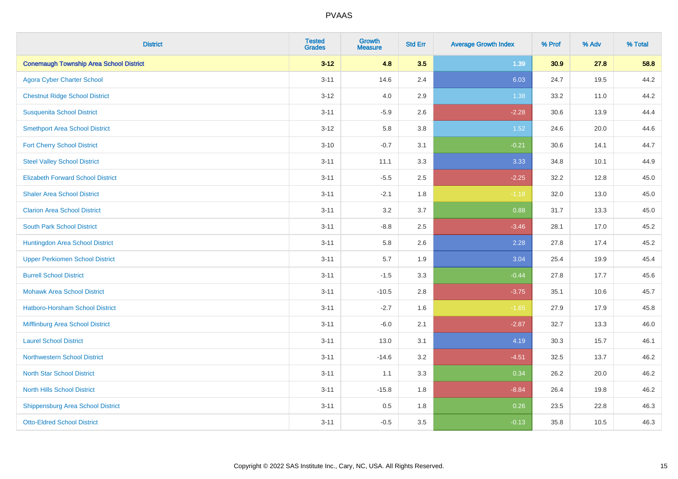| <b>District</b>                                | <b>Tested</b><br><b>Grades</b> | Growth<br><b>Measure</b> | <b>Std Err</b> | <b>Average Growth Index</b> | % Prof | % Adv | % Total |
|------------------------------------------------|--------------------------------|--------------------------|----------------|-----------------------------|--------|-------|---------|
| <b>Conemaugh Township Area School District</b> | $3 - 12$                       | 4.8                      | 3.5            | 1.39                        | 30.9   | 27.8  | 58.8    |
| <b>Agora Cyber Charter School</b>              | $3 - 11$                       | 14.6                     | 2.4            | 6.03                        | 24.7   | 19.5  | 44.2    |
| <b>Chestnut Ridge School District</b>          | $3 - 12$                       | 4.0                      | 2.9            | 1.38                        | 33.2   | 11.0  | 44.2    |
| <b>Susquenita School District</b>              | $3 - 11$                       | $-5.9$                   | 2.6            | $-2.28$                     | 30.6   | 13.9  | 44.4    |
| <b>Smethport Area School District</b>          | $3 - 12$                       | 5.8                      | 3.8            | 1.52                        | 24.6   | 20.0  | 44.6    |
| <b>Fort Cherry School District</b>             | $3 - 10$                       | $-0.7$                   | 3.1            | $-0.21$                     | 30.6   | 14.1  | 44.7    |
| <b>Steel Valley School District</b>            | $3 - 11$                       | 11.1                     | 3.3            | 3.33                        | 34.8   | 10.1  | 44.9    |
| <b>Elizabeth Forward School District</b>       | $3 - 11$                       | $-5.5$                   | 2.5            | $-2.25$                     | 32.2   | 12.8  | 45.0    |
| <b>Shaler Area School District</b>             | $3 - 11$                       | $-2.1$                   | 1.8            | $-1.18$                     | 32.0   | 13.0  | 45.0    |
| <b>Clarion Area School District</b>            | $3 - 11$                       | 3.2                      | 3.7            | 0.88                        | 31.7   | 13.3  | 45.0    |
| <b>South Park School District</b>              | $3 - 11$                       | $-8.8$                   | 2.5            | $-3.46$                     | 28.1   | 17.0  | 45.2    |
| Huntingdon Area School District                | $3 - 11$                       | 5.8                      | 2.6            | 2.28                        | 27.8   | 17.4  | 45.2    |
| <b>Upper Perkiomen School District</b>         | $3 - 11$                       | 5.7                      | 1.9            | 3.04                        | 25.4   | 19.9  | 45.4    |
| <b>Burrell School District</b>                 | $3 - 11$                       | $-1.5$                   | 3.3            | $-0.44$                     | 27.8   | 17.7  | 45.6    |
| <b>Mohawk Area School District</b>             | $3 - 11$                       | $-10.5$                  | 2.8            | $-3.75$                     | 35.1   | 10.6  | 45.7    |
| <b>Hatboro-Horsham School District</b>         | $3 - 11$                       | $-2.7$                   | 1.6            | $-1.65$                     | 27.9   | 17.9  | 45.8    |
| Mifflinburg Area School District               | $3 - 11$                       | $-6.0$                   | 2.1            | $-2.87$                     | 32.7   | 13.3  | 46.0    |
| <b>Laurel School District</b>                  | $3 - 11$                       | 13.0                     | 3.1            | 4.19                        | 30.3   | 15.7  | 46.1    |
| Northwestern School District                   | $3 - 11$                       | $-14.6$                  | 3.2            | $-4.51$                     | 32.5   | 13.7  | 46.2    |
| <b>North Star School District</b>              | $3 - 11$                       | 1.1                      | 3.3            | 0.34                        | 26.2   | 20.0  | 46.2    |
| <b>North Hills School District</b>             | $3 - 11$                       | $-15.8$                  | 1.8            | $-8.84$                     | 26.4   | 19.8  | 46.2    |
| <b>Shippensburg Area School District</b>       | $3 - 11$                       | 0.5                      | 1.8            | 0.26                        | 23.5   | 22.8  | 46.3    |
| <b>Otto-Eldred School District</b>             | $3 - 11$                       | $-0.5$                   | 3.5            | $-0.13$                     | 35.8   | 10.5  | 46.3    |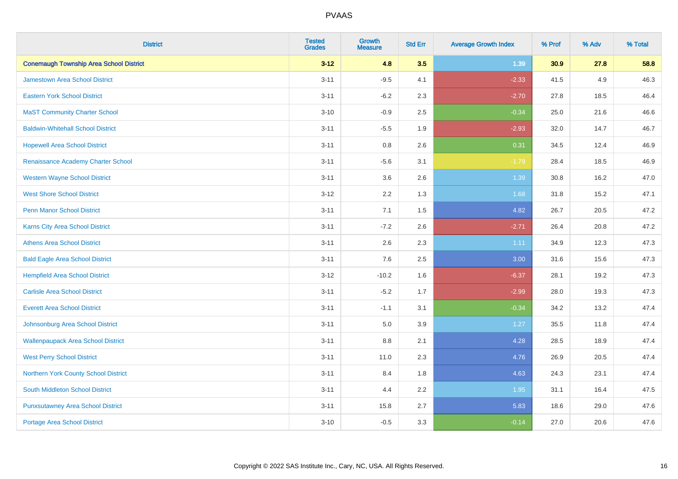| <b>District</b>                                | <b>Tested</b><br><b>Grades</b> | <b>Growth</b><br><b>Measure</b> | <b>Std Err</b> | <b>Average Growth Index</b> | % Prof | % Adv | % Total |
|------------------------------------------------|--------------------------------|---------------------------------|----------------|-----------------------------|--------|-------|---------|
| <b>Conemaugh Township Area School District</b> | $3 - 12$                       | 4.8                             | 3.5            | 1.39                        | 30.9   | 27.8  | 58.8    |
| Jamestown Area School District                 | $3 - 11$                       | $-9.5$                          | 4.1            | $-2.33$                     | 41.5   | 4.9   | 46.3    |
| <b>Eastern York School District</b>            | $3 - 11$                       | $-6.2$                          | 2.3            | $-2.70$                     | 27.8   | 18.5  | 46.4    |
| <b>MaST Community Charter School</b>           | $3 - 10$                       | $-0.9$                          | 2.5            | $-0.34$                     | 25.0   | 21.6  | 46.6    |
| <b>Baldwin-Whitehall School District</b>       | $3 - 11$                       | $-5.5$                          | 1.9            | $-2.93$                     | 32.0   | 14.7  | 46.7    |
| <b>Hopewell Area School District</b>           | $3 - 11$                       | 0.8                             | 2.6            | 0.31                        | 34.5   | 12.4  | 46.9    |
| Renaissance Academy Charter School             | $3 - 11$                       | $-5.6$                          | 3.1            | $-1.79$                     | 28.4   | 18.5  | 46.9    |
| <b>Western Wayne School District</b>           | $3 - 11$                       | 3.6                             | 2.6            | 1.39                        | 30.8   | 16.2  | 47.0    |
| <b>West Shore School District</b>              | $3 - 12$                       | 2.2                             | 1.3            | 1.68                        | 31.8   | 15.2  | 47.1    |
| Penn Manor School District                     | $3 - 11$                       | 7.1                             | 1.5            | 4.82                        | 26.7   | 20.5  | 47.2    |
| Karns City Area School District                | $3 - 11$                       | $-7.2$                          | 2.6            | $-2.71$                     | 26.4   | 20.8  | 47.2    |
| <b>Athens Area School District</b>             | $3 - 11$                       | 2.6                             | 2.3            | 1.11                        | 34.9   | 12.3  | 47.3    |
| <b>Bald Eagle Area School District</b>         | $3 - 11$                       | 7.6                             | 2.5            | 3.00                        | 31.6   | 15.6  | 47.3    |
| <b>Hempfield Area School District</b>          | $3 - 12$                       | $-10.2$                         | 1.6            | $-6.37$                     | 28.1   | 19.2  | 47.3    |
| <b>Carlisle Area School District</b>           | $3 - 11$                       | $-5.2$                          | 1.7            | $-2.99$                     | 28.0   | 19.3  | 47.3    |
| <b>Everett Area School District</b>            | $3 - 11$                       | $-1.1$                          | 3.1            | $-0.34$                     | 34.2   | 13.2  | 47.4    |
| Johnsonburg Area School District               | $3 - 11$                       | 5.0                             | 3.9            | 1.27                        | 35.5   | 11.8  | 47.4    |
| <b>Wallenpaupack Area School District</b>      | $3 - 11$                       | $8.8\,$                         | 2.1            | 4.28                        | 28.5   | 18.9  | 47.4    |
| <b>West Perry School District</b>              | $3 - 11$                       | 11.0                            | 2.3            | 4.76                        | 26.9   | 20.5  | 47.4    |
| Northern York County School District           | $3 - 11$                       | 8.4                             | 1.8            | 4.63                        | 24.3   | 23.1  | 47.4    |
| <b>South Middleton School District</b>         | $3 - 11$                       | 4.4                             | 2.2            | 1.95                        | 31.1   | 16.4  | 47.5    |
| <b>Punxsutawney Area School District</b>       | $3 - 11$                       | 15.8                            | 2.7            | 5.83                        | 18.6   | 29.0  | 47.6    |
| <b>Portage Area School District</b>            | $3 - 10$                       | $-0.5$                          | 3.3            | $-0.14$                     | 27.0   | 20.6  | 47.6    |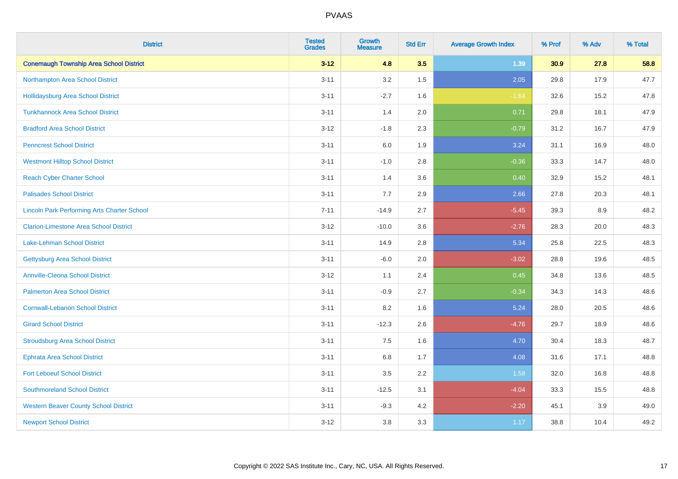| <b>District</b>                                    | <b>Tested</b><br><b>Grades</b> | Growth<br><b>Measure</b> | <b>Std Err</b> | <b>Average Growth Index</b> | % Prof | % Adv | % Total |
|----------------------------------------------------|--------------------------------|--------------------------|----------------|-----------------------------|--------|-------|---------|
| <b>Conemaugh Township Area School District</b>     | $3 - 12$                       | 4.8                      | 3.5            | 1.39                        | 30.9   | 27.8  | 58.8    |
| Northampton Area School District                   | $3 - 11$                       | 3.2                      | 1.5            | 2.05                        | 29.8   | 17.9  | 47.7    |
| <b>Hollidaysburg Area School District</b>          | $3 - 11$                       | $-2.7$                   | 1.6            | $-1.64$                     | 32.6   | 15.2  | 47.8    |
| <b>Tunkhannock Area School District</b>            | $3 - 11$                       | 1.4                      | 2.0            | 0.71                        | 29.8   | 18.1  | 47.9    |
| <b>Bradford Area School District</b>               | $3 - 12$                       | $-1.8$                   | 2.3            | $-0.79$                     | 31.2   | 16.7  | 47.9    |
| <b>Penncrest School District</b>                   | $3 - 11$                       | 6.0                      | 1.9            | 3.24                        | 31.1   | 16.9  | 48.0    |
| <b>Westmont Hilltop School District</b>            | $3 - 11$                       | $-1.0$                   | 2.8            | $-0.36$                     | 33.3   | 14.7  | 48.0    |
| <b>Reach Cyber Charter School</b>                  | $3 - 11$                       | 1.4                      | 3.6            | 0.40                        | 32.9   | 15.2  | 48.1    |
| <b>Palisades School District</b>                   | $3 - 11$                       | 7.7                      | 2.9            | 2.66                        | 27.8   | 20.3  | 48.1    |
| <b>Lincoln Park Performing Arts Charter School</b> | $7 - 11$                       | $-14.9$                  | 2.7            | $-5.45$                     | 39.3   | 8.9   | 48.2    |
| <b>Clarion-Limestone Area School District</b>      | $3 - 12$                       | $-10.0$                  | 3.6            | $-2.76$                     | 28.3   | 20.0  | 48.3    |
| Lake-Lehman School District                        | $3 - 11$                       | 14.9                     | 2.8            | 5.34                        | 25.8   | 22.5  | 48.3    |
| <b>Gettysburg Area School District</b>             | $3 - 11$                       | $-6.0$                   | 2.0            | $-3.02$                     | 28.8   | 19.6  | 48.5    |
| <b>Annville-Cleona School District</b>             | $3 - 12$                       | 1.1                      | 2.4            | 0.45                        | 34.8   | 13.6  | 48.5    |
| <b>Palmerton Area School District</b>              | $3 - 11$                       | $-0.9$                   | 2.7            | $-0.34$                     | 34.3   | 14.3  | 48.6    |
| <b>Cornwall-Lebanon School District</b>            | $3 - 11$                       | 8.2                      | 1.6            | 5.24                        | 28.0   | 20.5  | 48.6    |
| <b>Girard School District</b>                      | $3 - 11$                       | $-12.3$                  | 2.6            | $-4.76$                     | 29.7   | 18.9  | 48.6    |
| <b>Stroudsburg Area School District</b>            | $3 - 11$                       | 7.5                      | 1.6            | 4.70                        | 30.4   | 18.3  | 48.7    |
| <b>Ephrata Area School District</b>                | $3 - 11$                       | $6.8\,$                  | 1.7            | 4.08                        | 31.6   | 17.1  | 48.8    |
| <b>Fort Leboeuf School District</b>                | $3 - 11$                       | 3.5                      | 2.2            | 1.58                        | 32.0   | 16.8  | 48.8    |
| <b>Southmoreland School District</b>               | $3 - 11$                       | $-12.5$                  | 3.1            | $-4.04$                     | 33.3   | 15.5  | 48.8    |
| <b>Western Beaver County School District</b>       | $3 - 11$                       | $-9.3$                   | 4.2            | $-2.20$                     | 45.1   | 3.9   | 49.0    |
| <b>Newport School District</b>                     | $3 - 12$                       | 3.8                      | 3.3            | 1.17                        | 38.8   | 10.4  | 49.2    |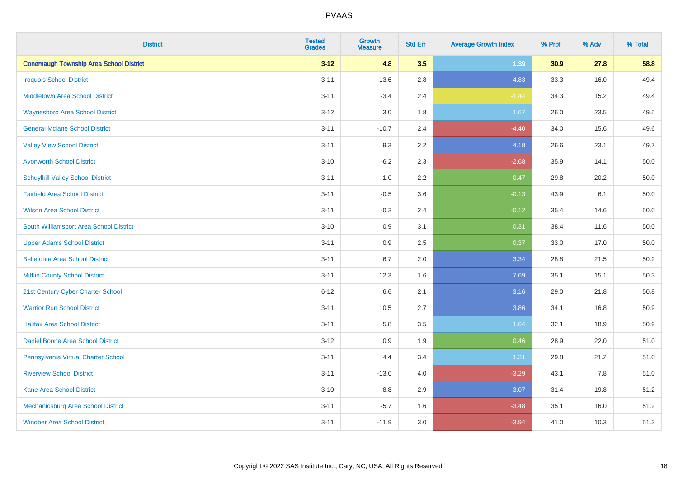| <b>District</b>                                | <b>Tested</b><br><b>Grades</b> | <b>Growth</b><br><b>Measure</b> | <b>Std Err</b> | <b>Average Growth Index</b> | % Prof | % Adv | % Total |
|------------------------------------------------|--------------------------------|---------------------------------|----------------|-----------------------------|--------|-------|---------|
| <b>Conemaugh Township Area School District</b> | $3 - 12$                       | 4.8                             | 3.5            | 1.39                        | 30.9   | 27.8  | 58.8    |
| <b>Iroquois School District</b>                | $3 - 11$                       | 13.6                            | 2.8            | 4.83                        | 33.3   | 16.0  | 49.4    |
| <b>Middletown Area School District</b>         | $3 - 11$                       | $-3.4$                          | 2.4            | $-1.44$                     | 34.3   | 15.2  | 49.4    |
| <b>Waynesboro Area School District</b>         | $3 - 12$                       | 3.0                             | 1.8            | 1.67                        | 26.0   | 23.5  | 49.5    |
| <b>General Mclane School District</b>          | $3 - 11$                       | $-10.7$                         | 2.4            | $-4.40$                     | 34.0   | 15.6  | 49.6    |
| <b>Valley View School District</b>             | $3 - 11$                       | 9.3                             | 2.2            | 4.18                        | 26.6   | 23.1  | 49.7    |
| <b>Avonworth School District</b>               | $3 - 10$                       | $-6.2$                          | 2.3            | $-2.68$                     | 35.9   | 14.1  | 50.0    |
| <b>Schuylkill Valley School District</b>       | $3 - 11$                       | $-1.0$                          | 2.2            | $-0.47$                     | 29.8   | 20.2  | 50.0    |
| <b>Fairfield Area School District</b>          | $3 - 11$                       | $-0.5$                          | 3.6            | $-0.13$                     | 43.9   | 6.1   | 50.0    |
| <b>Wilson Area School District</b>             | $3 - 11$                       | $-0.3$                          | 2.4            | $-0.12$                     | 35.4   | 14.6  | 50.0    |
| South Williamsport Area School District        | $3 - 10$                       | 0.9                             | 3.1            | 0.31                        | 38.4   | 11.6  | 50.0    |
| <b>Upper Adams School District</b>             | $3 - 11$                       | 0.9                             | 2.5            | 0.37                        | 33.0   | 17.0  | 50.0    |
| <b>Bellefonte Area School District</b>         | $3 - 11$                       | 6.7                             | 2.0            | 3.34                        | 28.8   | 21.5  | 50.2    |
| <b>Mifflin County School District</b>          | $3 - 11$                       | 12.3                            | 1.6            | 7.69                        | 35.1   | 15.1  | 50.3    |
| 21st Century Cyber Charter School              | $6 - 12$                       | 6.6                             | 2.1            | 3.16                        | 29.0   | 21.8  | 50.8    |
| <b>Warrior Run School District</b>             | $3 - 11$                       | 10.5                            | 2.7            | 3.86                        | 34.1   | 16.8  | 50.9    |
| <b>Halifax Area School District</b>            | $3 - 11$                       | 5.8                             | 3.5            | 1.64                        | 32.1   | 18.9  | 50.9    |
| Daniel Boone Area School District              | $3 - 12$                       | 0.9                             | 1.9            | 0.46                        | 28.9   | 22.0  | 51.0    |
| Pennsylvania Virtual Charter School            | $3 - 11$                       | 4.4                             | 3.4            | 1.31                        | 29.8   | 21.2  | 51.0    |
| <b>Riverview School District</b>               | $3 - 11$                       | $-13.0$                         | 4.0            | $-3.29$                     | 43.1   | 7.8   | 51.0    |
| Kane Area School District                      | $3 - 10$                       | 8.8                             | 2.9            | 3.07                        | 31.4   | 19.8  | 51.2    |
| Mechanicsburg Area School District             | $3 - 11$                       | $-5.7$                          | 1.6            | $-3.48$                     | 35.1   | 16.0  | 51.2    |
| <b>Windber Area School District</b>            | $3 - 11$                       | $-11.9$                         | 3.0            | $-3.94$                     | 41.0   | 10.3  | 51.3    |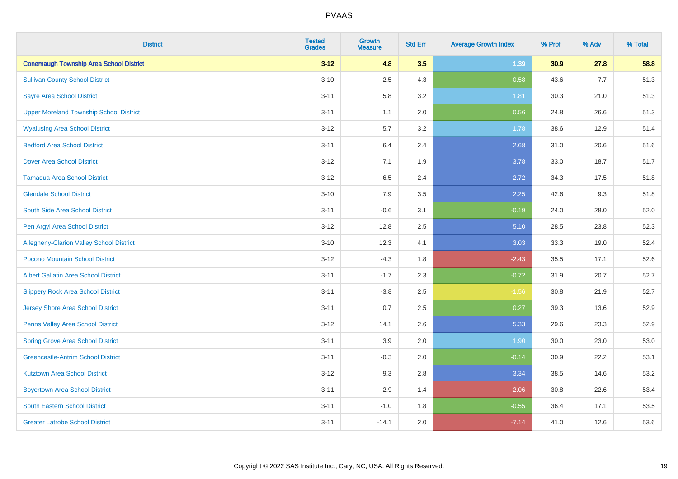| <b>District</b>                                 | <b>Tested</b><br><b>Grades</b> | Growth<br><b>Measure</b> | <b>Std Err</b> | <b>Average Growth Index</b> | % Prof | % Adv | % Total |
|-------------------------------------------------|--------------------------------|--------------------------|----------------|-----------------------------|--------|-------|---------|
| <b>Conemaugh Township Area School District</b>  | $3 - 12$                       | 4.8                      | 3.5            | 1.39                        | 30.9   | 27.8  | 58.8    |
| <b>Sullivan County School District</b>          | $3 - 10$                       | 2.5                      | 4.3            | 0.58                        | 43.6   | $7.7$ | 51.3    |
| <b>Sayre Area School District</b>               | $3 - 11$                       | 5.8                      | 3.2            | 1.81                        | 30.3   | 21.0  | 51.3    |
| <b>Upper Moreland Township School District</b>  | $3 - 11$                       | 1.1                      | 2.0            | 0.56                        | 24.8   | 26.6  | 51.3    |
| <b>Wyalusing Area School District</b>           | $3 - 12$                       | 5.7                      | 3.2            | 1.78                        | 38.6   | 12.9  | 51.4    |
| <b>Bedford Area School District</b>             | $3 - 11$                       | 6.4                      | 2.4            | 2.68                        | 31.0   | 20.6  | 51.6    |
| <b>Dover Area School District</b>               | $3 - 12$                       | 7.1                      | 1.9            | 3.78                        | 33.0   | 18.7  | 51.7    |
| <b>Tamaqua Area School District</b>             | $3 - 12$                       | 6.5                      | 2.4            | 2.72                        | 34.3   | 17.5  | 51.8    |
| <b>Glendale School District</b>                 | $3 - 10$                       | 7.9                      | 3.5            | 2.25                        | 42.6   | 9.3   | 51.8    |
| South Side Area School District                 | $3 - 11$                       | $-0.6$                   | 3.1            | $-0.19$                     | 24.0   | 28.0  | 52.0    |
| Pen Argyl Area School District                  | $3 - 12$                       | 12.8                     | 2.5            | 5.10                        | 28.5   | 23.8  | 52.3    |
| <b>Allegheny-Clarion Valley School District</b> | $3 - 10$                       | 12.3                     | 4.1            | 3.03                        | 33.3   | 19.0  | 52.4    |
| Pocono Mountain School District                 | $3-12$                         | $-4.3$                   | 1.8            | $-2.43$                     | 35.5   | 17.1  | 52.6    |
| <b>Albert Gallatin Area School District</b>     | $3 - 11$                       | $-1.7$                   | 2.3            | $-0.72$                     | 31.9   | 20.7  | 52.7    |
| <b>Slippery Rock Area School District</b>       | $3 - 11$                       | $-3.8$                   | 2.5            | $-1.56$                     | 30.8   | 21.9  | 52.7    |
| <b>Jersey Shore Area School District</b>        | $3 - 11$                       | 0.7                      | 2.5            | 0.27                        | 39.3   | 13.6  | 52.9    |
| <b>Penns Valley Area School District</b>        | $3 - 12$                       | 14.1                     | 2.6            | 5.33                        | 29.6   | 23.3  | 52.9    |
| <b>Spring Grove Area School District</b>        | $3 - 11$                       | 3.9                      | 2.0            | 1.90                        | 30.0   | 23.0  | 53.0    |
| <b>Greencastle-Antrim School District</b>       | $3 - 11$                       | $-0.3$                   | 2.0            | $-0.14$                     | 30.9   | 22.2  | 53.1    |
| <b>Kutztown Area School District</b>            | $3 - 12$                       | 9.3                      | 2.8            | 3.34                        | 38.5   | 14.6  | 53.2    |
| <b>Boyertown Area School District</b>           | $3 - 11$                       | $-2.9$                   | 1.4            | $-2.06$                     | 30.8   | 22.6  | 53.4    |
| <b>South Eastern School District</b>            | $3 - 11$                       | $-1.0$                   | 1.8            | $-0.55$                     | 36.4   | 17.1  | 53.5    |
| <b>Greater Latrobe School District</b>          | $3 - 11$                       | $-14.1$                  | 2.0            | $-7.14$                     | 41.0   | 12.6  | 53.6    |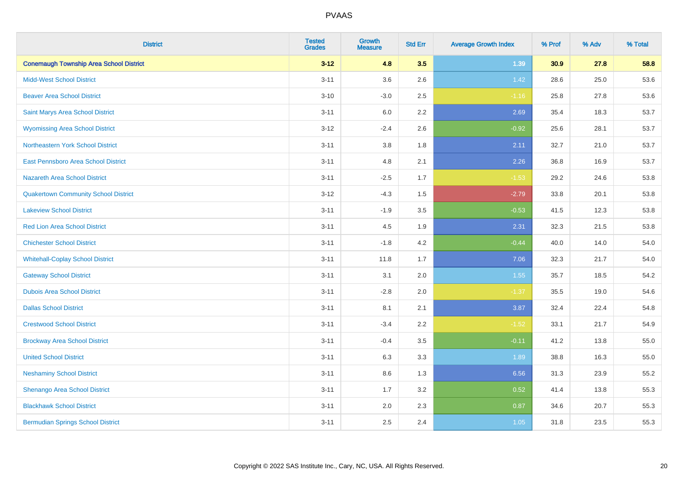| <b>District</b>                                | <b>Tested</b><br><b>Grades</b> | <b>Growth</b><br><b>Measure</b> | <b>Std Err</b> | <b>Average Growth Index</b> | % Prof | % Adv | % Total |
|------------------------------------------------|--------------------------------|---------------------------------|----------------|-----------------------------|--------|-------|---------|
| <b>Conemaugh Township Area School District</b> | $3 - 12$                       | 4.8                             | 3.5            | 1.39                        | 30.9   | 27.8  | 58.8    |
| <b>Midd-West School District</b>               | $3 - 11$                       | 3.6                             | 2.6            | 1.42                        | 28.6   | 25.0  | 53.6    |
| <b>Beaver Area School District</b>             | $3 - 10$                       | $-3.0$                          | 2.5            | $-1.16$                     | 25.8   | 27.8  | 53.6    |
| Saint Marys Area School District               | $3 - 11$                       | 6.0                             | 2.2            | 2.69                        | 35.4   | 18.3  | 53.7    |
| <b>Wyomissing Area School District</b>         | $3 - 12$                       | $-2.4$                          | 2.6            | $-0.92$                     | 25.6   | 28.1  | 53.7    |
| Northeastern York School District              | $3 - 11$                       | $3.8\,$                         | 1.8            | 2.11                        | 32.7   | 21.0  | 53.7    |
| East Pennsboro Area School District            | $3 - 11$                       | 4.8                             | 2.1            | 2.26                        | 36.8   | 16.9  | 53.7    |
| <b>Nazareth Area School District</b>           | $3 - 11$                       | $-2.5$                          | 1.7            | $-1.53$                     | 29.2   | 24.6  | 53.8    |
| <b>Quakertown Community School District</b>    | $3 - 12$                       | $-4.3$                          | 1.5            | $-2.79$                     | 33.8   | 20.1  | 53.8    |
| <b>Lakeview School District</b>                | $3 - 11$                       | $-1.9$                          | 3.5            | $-0.53$                     | 41.5   | 12.3  | 53.8    |
| <b>Red Lion Area School District</b>           | $3 - 11$                       | 4.5                             | 1.9            | 2.31                        | 32.3   | 21.5  | 53.8    |
| <b>Chichester School District</b>              | $3 - 11$                       | $-1.8$                          | 4.2            | $-0.44$                     | 40.0   | 14.0  | 54.0    |
| <b>Whitehall-Coplay School District</b>        | $3 - 11$                       | 11.8                            | 1.7            | 7.06                        | 32.3   | 21.7  | 54.0    |
| <b>Gateway School District</b>                 | $3 - 11$                       | 3.1                             | 2.0            | 1.55                        | 35.7   | 18.5  | 54.2    |
| <b>Dubois Area School District</b>             | $3 - 11$                       | $-2.8$                          | 2.0            | $-1.37$                     | 35.5   | 19.0  | 54.6    |
| <b>Dallas School District</b>                  | $3 - 11$                       | 8.1                             | 2.1            | 3.87                        | 32.4   | 22.4  | 54.8    |
| <b>Crestwood School District</b>               | $3 - 11$                       | $-3.4$                          | 2.2            | $-1.52$                     | 33.1   | 21.7  | 54.9    |
| <b>Brockway Area School District</b>           | $3 - 11$                       | $-0.4$                          | 3.5            | $-0.11$                     | 41.2   | 13.8  | 55.0    |
| <b>United School District</b>                  | $3 - 11$                       | 6.3                             | 3.3            | 1.89                        | 38.8   | 16.3  | 55.0    |
| <b>Neshaminy School District</b>               | $3 - 11$                       | 8.6                             | 1.3            | 6.56                        | 31.3   | 23.9  | 55.2    |
| Shenango Area School District                  | $3 - 11$                       | 1.7                             | 3.2            | 0.52                        | 41.4   | 13.8  | 55.3    |
| <b>Blackhawk School District</b>               | $3 - 11$                       | 2.0                             | 2.3            | 0.87                        | 34.6   | 20.7  | 55.3    |
| <b>Bermudian Springs School District</b>       | $3 - 11$                       | 2.5                             | 2.4            | 1.05                        | 31.8   | 23.5  | 55.3    |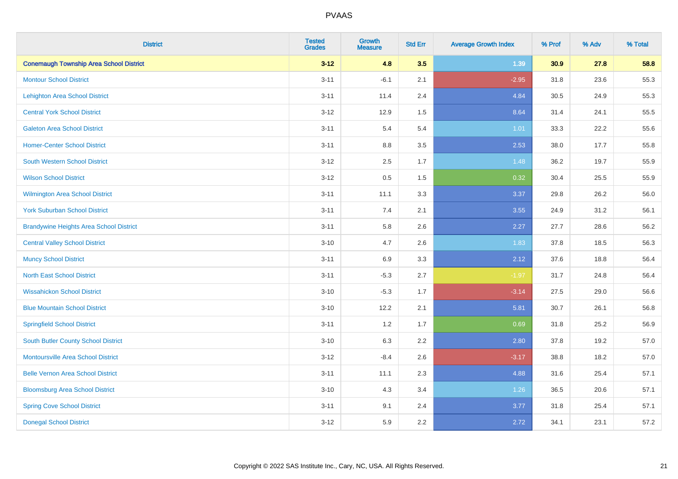| <b>District</b>                                | <b>Tested</b><br><b>Grades</b> | <b>Growth</b><br><b>Measure</b> | <b>Std Err</b> | <b>Average Growth Index</b> | % Prof | % Adv | % Total |
|------------------------------------------------|--------------------------------|---------------------------------|----------------|-----------------------------|--------|-------|---------|
| <b>Conemaugh Township Area School District</b> | $3 - 12$                       | 4.8                             | 3.5            | 1.39                        | 30.9   | 27.8  | 58.8    |
| <b>Montour School District</b>                 | $3 - 11$                       | $-6.1$                          | 2.1            | $-2.95$                     | 31.8   | 23.6  | 55.3    |
| <b>Lehighton Area School District</b>          | $3 - 11$                       | 11.4                            | 2.4            | 4.84                        | 30.5   | 24.9  | 55.3    |
| <b>Central York School District</b>            | $3 - 12$                       | 12.9                            | 1.5            | 8.64                        | 31.4   | 24.1  | 55.5    |
| <b>Galeton Area School District</b>            | $3 - 11$                       | 5.4                             | 5.4            | 1.01                        | 33.3   | 22.2  | 55.6    |
| <b>Homer-Center School District</b>            | $3 - 11$                       | 8.8                             | 3.5            | 2.53                        | 38.0   | 17.7  | 55.8    |
| <b>South Western School District</b>           | $3 - 12$                       | 2.5                             | 1.7            | 1.48                        | 36.2   | 19.7  | 55.9    |
| <b>Wilson School District</b>                  | $3 - 12$                       | $0.5\,$                         | 1.5            | 0.32                        | 30.4   | 25.5  | 55.9    |
| <b>Wilmington Area School District</b>         | $3 - 11$                       | 11.1                            | 3.3            | 3.37                        | 29.8   | 26.2  | 56.0    |
| <b>York Suburban School District</b>           | $3 - 11$                       | 7.4                             | 2.1            | 3.55                        | 24.9   | 31.2  | 56.1    |
| <b>Brandywine Heights Area School District</b> | $3 - 11$                       | 5.8                             | 2.6            | 2.27                        | 27.7   | 28.6  | 56.2    |
| <b>Central Valley School District</b>          | $3 - 10$                       | 4.7                             | 2.6            | 1.83                        | 37.8   | 18.5  | 56.3    |
| <b>Muncy School District</b>                   | $3 - 11$                       | 6.9                             | 3.3            | 2.12                        | 37.6   | 18.8  | 56.4    |
| <b>North East School District</b>              | $3 - 11$                       | $-5.3$                          | 2.7            | $-1.97$                     | 31.7   | 24.8  | 56.4    |
| <b>Wissahickon School District</b>             | $3 - 10$                       | $-5.3$                          | 1.7            | $-3.14$                     | 27.5   | 29.0  | 56.6    |
| <b>Blue Mountain School District</b>           | $3 - 10$                       | 12.2                            | 2.1            | 5.81                        | 30.7   | 26.1  | 56.8    |
| <b>Springfield School District</b>             | $3 - 11$                       | 1.2                             | 1.7            | 0.69                        | 31.8   | 25.2  | 56.9    |
| <b>South Butler County School District</b>     | $3 - 10$                       | 6.3                             | 2.2            | 2.80                        | 37.8   | 19.2  | 57.0    |
| <b>Montoursville Area School District</b>      | $3 - 12$                       | $-8.4$                          | 2.6            | $-3.17$                     | 38.8   | 18.2  | 57.0    |
| <b>Belle Vernon Area School District</b>       | $3 - 11$                       | 11.1                            | 2.3            | 4.88                        | 31.6   | 25.4  | 57.1    |
| <b>Bloomsburg Area School District</b>         | $3 - 10$                       | 4.3                             | 3.4            | 1.26                        | 36.5   | 20.6  | 57.1    |
| <b>Spring Cove School District</b>             | $3 - 11$                       | 9.1                             | 2.4            | 3.77                        | 31.8   | 25.4  | 57.1    |
| <b>Donegal School District</b>                 | $3 - 12$                       | 5.9                             | 2.2            | 2.72                        | 34.1   | 23.1  | 57.2    |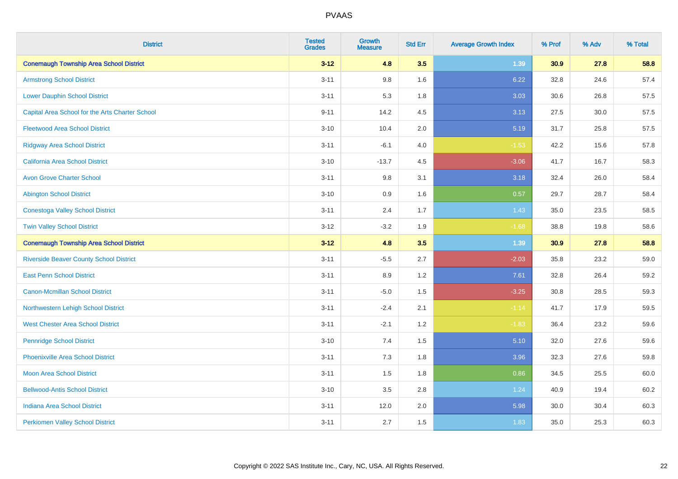| <b>District</b>                                 | <b>Tested</b><br><b>Grades</b> | <b>Growth</b><br><b>Measure</b> | <b>Std Err</b> | <b>Average Growth Index</b> | % Prof | % Adv | % Total |
|-------------------------------------------------|--------------------------------|---------------------------------|----------------|-----------------------------|--------|-------|---------|
| <b>Conemaugh Township Area School District</b>  | $3 - 12$                       | 4.8                             | 3.5            | 1.39                        | 30.9   | 27.8  | 58.8    |
| <b>Armstrong School District</b>                | $3 - 11$                       | 9.8                             | 1.6            | 6.22                        | 32.8   | 24.6  | 57.4    |
| <b>Lower Dauphin School District</b>            | $3 - 11$                       | 5.3                             | 1.8            | 3.03                        | 30.6   | 26.8  | 57.5    |
| Capital Area School for the Arts Charter School | $9 - 11$                       | 14.2                            | 4.5            | 3.13                        | 27.5   | 30.0  | 57.5    |
| <b>Fleetwood Area School District</b>           | $3 - 10$                       | 10.4                            | 2.0            | 5.19                        | 31.7   | 25.8  | 57.5    |
| <b>Ridgway Area School District</b>             | $3 - 11$                       | $-6.1$                          | 4.0            | $-1.53$                     | 42.2   | 15.6  | 57.8    |
| California Area School District                 | $3 - 10$                       | $-13.7$                         | 4.5            | $-3.06$                     | 41.7   | 16.7  | 58.3    |
| <b>Avon Grove Charter School</b>                | $3 - 11$                       | 9.8                             | 3.1            | 3.18                        | 32.4   | 26.0  | 58.4    |
| <b>Abington School District</b>                 | $3 - 10$                       | 0.9                             | 1.6            | 0.57                        | 29.7   | 28.7  | 58.4    |
| <b>Conestoga Valley School District</b>         | $3 - 11$                       | 2.4                             | 1.7            | 1.43                        | 35.0   | 23.5  | 58.5    |
| <b>Twin Valley School District</b>              | $3 - 12$                       | $-3.2$                          | 1.9            | $-1.68$                     | 38.8   | 19.8  | 58.6    |
| <b>Conemaugh Township Area School District</b>  | $3 - 12$                       | 4.8                             | 3.5            | 1.39                        | 30.9   | 27.8  | 58.8    |
| <b>Riverside Beaver County School District</b>  | $3 - 11$                       | $-5.5$                          | 2.7            | $-2.03$                     | 35.8   | 23.2  | 59.0    |
| <b>East Penn School District</b>                | $3 - 11$                       | 8.9                             | 1.2            | 7.61                        | 32.8   | 26.4  | 59.2    |
| <b>Canon-Mcmillan School District</b>           | $3 - 11$                       | $-5.0$                          | 1.5            | $-3.25$                     | 30.8   | 28.5  | 59.3    |
| Northwestern Lehigh School District             | $3 - 11$                       | $-2.4$                          | 2.1            | $-1.14$                     | 41.7   | 17.9  | 59.5    |
| <b>West Chester Area School District</b>        | $3 - 11$                       | $-2.1$                          | 1.2            | $-1.83$                     | 36.4   | 23.2  | 59.6    |
| <b>Pennridge School District</b>                | $3 - 10$                       | 7.4                             | 1.5            | 5.10                        | 32.0   | 27.6  | 59.6    |
| <b>Phoenixville Area School District</b>        | $3 - 11$                       | 7.3                             | 1.8            | 3.96                        | 32.3   | 27.6  | 59.8    |
| Moon Area School District                       | $3 - 11$                       | 1.5                             | 1.8            | 0.86                        | 34.5   | 25.5  | 60.0    |
| <b>Bellwood-Antis School District</b>           | $3 - 10$                       | 3.5                             | 2.8            | 1.24                        | 40.9   | 19.4  | 60.2    |
| <b>Indiana Area School District</b>             | $3 - 11$                       | 12.0                            | 2.0            | 5.98                        | 30.0   | 30.4  | 60.3    |
| <b>Perkiomen Valley School District</b>         | $3 - 11$                       | 2.7                             | 1.5            | 1.83                        | 35.0   | 25.3  | 60.3    |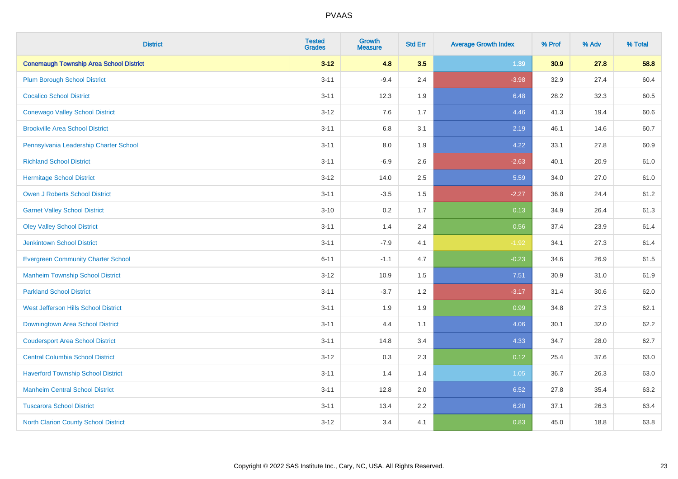| <b>District</b>                                | <b>Tested</b><br><b>Grades</b> | Growth<br><b>Measure</b> | <b>Std Err</b> | <b>Average Growth Index</b> | % Prof | % Adv | % Total |
|------------------------------------------------|--------------------------------|--------------------------|----------------|-----------------------------|--------|-------|---------|
| <b>Conemaugh Township Area School District</b> | $3 - 12$                       | 4.8                      | 3.5            | 1.39                        | 30.9   | 27.8  | 58.8    |
| <b>Plum Borough School District</b>            | $3 - 11$                       | $-9.4$                   | 2.4            | $-3.98$                     | 32.9   | 27.4  | 60.4    |
| <b>Cocalico School District</b>                | $3 - 11$                       | 12.3                     | 1.9            | 6.48                        | 28.2   | 32.3  | 60.5    |
| <b>Conewago Valley School District</b>         | $3 - 12$                       | 7.6                      | 1.7            | 4.46                        | 41.3   | 19.4  | 60.6    |
| <b>Brookville Area School District</b>         | $3 - 11$                       | 6.8                      | 3.1            | 2.19                        | 46.1   | 14.6  | 60.7    |
| Pennsylvania Leadership Charter School         | $3 - 11$                       | $8.0\,$                  | 1.9            | 4.22                        | 33.1   | 27.8  | 60.9    |
| <b>Richland School District</b>                | $3 - 11$                       | $-6.9$                   | 2.6            | $-2.63$                     | 40.1   | 20.9  | 61.0    |
| <b>Hermitage School District</b>               | $3 - 12$                       | 14.0                     | 2.5            | 5.59                        | 34.0   | 27.0  | 61.0    |
| <b>Owen J Roberts School District</b>          | $3 - 11$                       | $-3.5$                   | 1.5            | $-2.27$                     | 36.8   | 24.4  | 61.2    |
| <b>Garnet Valley School District</b>           | $3 - 10$                       | 0.2                      | 1.7            | 0.13                        | 34.9   | 26.4  | 61.3    |
| <b>Oley Valley School District</b>             | $3 - 11$                       | 1.4                      | 2.4            | 0.56                        | 37.4   | 23.9  | 61.4    |
| <b>Jenkintown School District</b>              | $3 - 11$                       | $-7.9$                   | 4.1            | $-1.92$                     | 34.1   | 27.3  | 61.4    |
| <b>Evergreen Community Charter School</b>      | $6 - 11$                       | $-1.1$                   | 4.7            | $-0.23$                     | 34.6   | 26.9  | 61.5    |
| <b>Manheim Township School District</b>        | $3 - 12$                       | 10.9                     | 1.5            | 7.51                        | 30.9   | 31.0  | 61.9    |
| <b>Parkland School District</b>                | $3 - 11$                       | $-3.7$                   | 1.2            | $-3.17$                     | 31.4   | 30.6  | 62.0    |
| West Jefferson Hills School District           | $3 - 11$                       | 1.9                      | 1.9            | 0.99                        | 34.8   | 27.3  | 62.1    |
| Downingtown Area School District               | $3 - 11$                       | 4.4                      | 1.1            | 4.06                        | 30.1   | 32.0  | 62.2    |
| <b>Coudersport Area School District</b>        | $3 - 11$                       | 14.8                     | 3.4            | 4.33                        | 34.7   | 28.0  | 62.7    |
| <b>Central Columbia School District</b>        | $3 - 12$                       | 0.3                      | 2.3            | 0.12                        | 25.4   | 37.6  | 63.0    |
| <b>Haverford Township School District</b>      | $3 - 11$                       | 1.4                      | 1.4            | 1.05                        | 36.7   | 26.3  | 63.0    |
| <b>Manheim Central School District</b>         | $3 - 11$                       | 12.8                     | 2.0            | 6.52                        | 27.8   | 35.4  | 63.2    |
| <b>Tuscarora School District</b>               | $3 - 11$                       | 13.4                     | 2.2            | 6.20                        | 37.1   | 26.3  | 63.4    |
| North Clarion County School District           | $3 - 12$                       | 3.4                      | 4.1            | 0.83                        | 45.0   | 18.8  | 63.8    |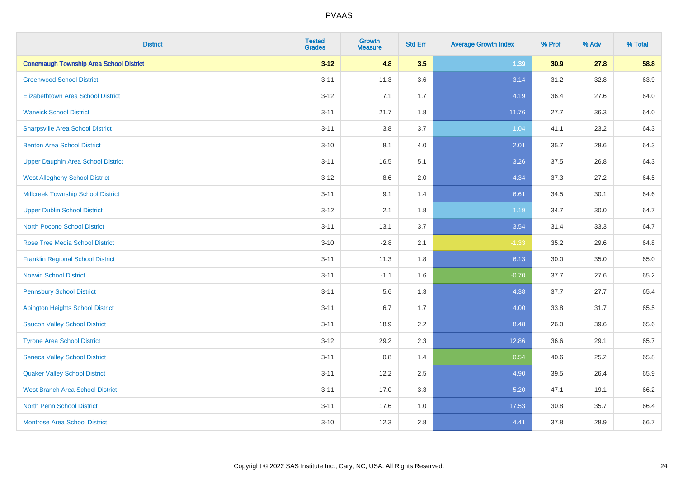| <b>District</b>                                | <b>Tested</b><br><b>Grades</b> | <b>Growth</b><br><b>Measure</b> | <b>Std Err</b> | <b>Average Growth Index</b> | % Prof | % Adv | % Total |
|------------------------------------------------|--------------------------------|---------------------------------|----------------|-----------------------------|--------|-------|---------|
| <b>Conemaugh Township Area School District</b> | $3 - 12$                       | 4.8                             | 3.5            | 1.39                        | 30.9   | 27.8  | 58.8    |
| <b>Greenwood School District</b>               | $3 - 11$                       | 11.3                            | 3.6            | 3.14                        | 31.2   | 32.8  | 63.9    |
| <b>Elizabethtown Area School District</b>      | $3 - 12$                       | 7.1                             | 1.7            | 4.19                        | 36.4   | 27.6  | 64.0    |
| <b>Warwick School District</b>                 | $3 - 11$                       | 21.7                            | 1.8            | 11.76                       | 27.7   | 36.3  | 64.0    |
| <b>Sharpsville Area School District</b>        | $3 - 11$                       | 3.8                             | 3.7            | 1.04                        | 41.1   | 23.2  | 64.3    |
| <b>Benton Area School District</b>             | $3 - 10$                       | 8.1                             | 4.0            | 2.01                        | 35.7   | 28.6  | 64.3    |
| <b>Upper Dauphin Area School District</b>      | $3 - 11$                       | 16.5                            | 5.1            | 3.26                        | 37.5   | 26.8  | 64.3    |
| <b>West Allegheny School District</b>          | $3 - 12$                       | $8.6\,$                         | 2.0            | 4.34                        | 37.3   | 27.2  | 64.5    |
| <b>Millcreek Township School District</b>      | $3 - 11$                       | 9.1                             | 1.4            | 6.61                        | 34.5   | 30.1  | 64.6    |
| <b>Upper Dublin School District</b>            | $3 - 12$                       | 2.1                             | 1.8            | 1.19                        | 34.7   | 30.0  | 64.7    |
| <b>North Pocono School District</b>            | $3 - 11$                       | 13.1                            | 3.7            | 3.54                        | 31.4   | 33.3  | 64.7    |
| <b>Rose Tree Media School District</b>         | $3 - 10$                       | $-2.8$                          | 2.1            | $-1.33$                     | 35.2   | 29.6  | 64.8    |
| <b>Franklin Regional School District</b>       | $3 - 11$                       | 11.3                            | 1.8            | 6.13                        | 30.0   | 35.0  | 65.0    |
| <b>Norwin School District</b>                  | $3 - 11$                       | $-1.1$                          | 1.6            | $-0.70$                     | 37.7   | 27.6  | 65.2    |
| <b>Pennsbury School District</b>               | $3 - 11$                       | 5.6                             | 1.3            | 4.38                        | 37.7   | 27.7  | 65.4    |
| <b>Abington Heights School District</b>        | $3 - 11$                       | 6.7                             | 1.7            | 4.00                        | 33.8   | 31.7  | 65.5    |
| <b>Saucon Valley School District</b>           | $3 - 11$                       | 18.9                            | 2.2            | 8.48                        | 26.0   | 39.6  | 65.6    |
| <b>Tyrone Area School District</b>             | $3 - 12$                       | 29.2                            | 2.3            | 12.86                       | 36.6   | 29.1  | 65.7    |
| <b>Seneca Valley School District</b>           | $3 - 11$                       | $0.8\,$                         | 1.4            | 0.54                        | 40.6   | 25.2  | 65.8    |
| <b>Quaker Valley School District</b>           | $3 - 11$                       | 12.2                            | 2.5            | 4.90                        | 39.5   | 26.4  | 65.9    |
| <b>West Branch Area School District</b>        | $3 - 11$                       | 17.0                            | 3.3            | 5.20                        | 47.1   | 19.1  | 66.2    |
| <b>North Penn School District</b>              | $3 - 11$                       | 17.6                            | 1.0            | 17.53                       | 30.8   | 35.7  | 66.4    |
| <b>Montrose Area School District</b>           | $3 - 10$                       | 12.3                            | 2.8            | 4.41                        | 37.8   | 28.9  | 66.7    |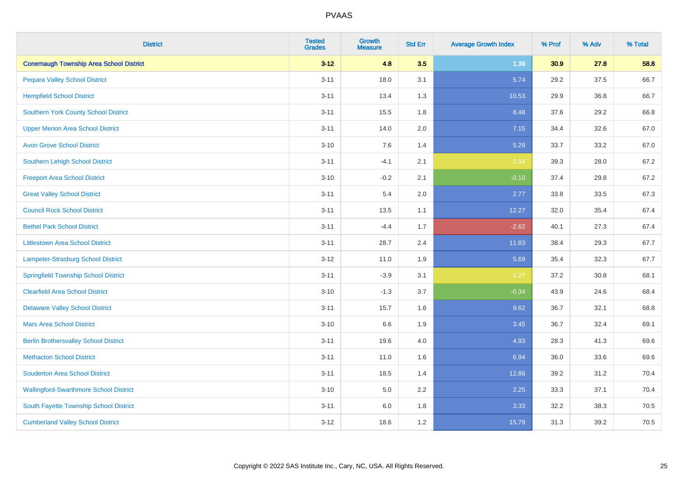| <b>District</b>                                | <b>Tested</b><br><b>Grades</b> | <b>Growth</b><br><b>Measure</b> | <b>Std Err</b> | <b>Average Growth Index</b> | % Prof | % Adv | % Total |
|------------------------------------------------|--------------------------------|---------------------------------|----------------|-----------------------------|--------|-------|---------|
| <b>Conemaugh Township Area School District</b> | $3 - 12$                       | 4.8                             | 3.5            | 1.39                        | 30.9   | 27.8  | 58.8    |
| <b>Pequea Valley School District</b>           | $3 - 11$                       | 18.0                            | 3.1            | 5.74                        | 29.2   | 37.5  | 66.7    |
| <b>Hempfield School District</b>               | $3 - 11$                       | 13.4                            | 1.3            | 10.53                       | 29.9   | 36.8  | 66.7    |
| <b>Southern York County School District</b>    | $3 - 11$                       | 15.5                            | 1.8            | 8.48                        | 37.6   | 29.2  | 66.8    |
| <b>Upper Merion Area School District</b>       | $3 - 11$                       | 14.0                            | 2.0            | 7.15                        | 34.4   | 32.6  | 67.0    |
| <b>Avon Grove School District</b>              | $3 - 10$                       | 7.6                             | 1.4            | 5.29                        | 33.7   | 33.2  | 67.0    |
| Southern Lehigh School District                | $3 - 11$                       | $-4.1$                          | 2.1            | $-1.94$                     | 39.3   | 28.0  | 67.2    |
| <b>Freeport Area School District</b>           | $3 - 10$                       | $-0.2$                          | 2.1            | $-0.10$                     | 37.4   | 29.8  | 67.2    |
| <b>Great Valley School District</b>            | $3 - 11$                       | 5.4                             | 2.0            | 2.77                        | 33.8   | 33.5  | 67.3    |
| <b>Council Rock School District</b>            | $3 - 11$                       | 13.5                            | 1.1            | 12.27                       | 32.0   | 35.4  | 67.4    |
| <b>Bethel Park School District</b>             | $3 - 11$                       | $-4.4$                          | 1.7            | $-2.62$                     | 40.1   | 27.3  | 67.4    |
| <b>Littlestown Area School District</b>        | $3 - 11$                       | 28.7                            | 2.4            | 11.83                       | 38.4   | 29.3  | 67.7    |
| Lampeter-Strasburg School District             | $3 - 12$                       | 11.0                            | 1.9            | 5.69                        | 35.4   | 32.3  | 67.7    |
| <b>Springfield Township School District</b>    | $3 - 11$                       | $-3.9$                          | 3.1            | $-1.27$                     | 37.2   | 30.8  | 68.1    |
| <b>Clearfield Area School District</b>         | $3 - 10$                       | $-1.3$                          | 3.7            | $-0.34$                     | 43.9   | 24.6  | 68.4    |
| <b>Delaware Valley School District</b>         | $3 - 11$                       | 15.7                            | 1.6            | 9.62                        | 36.7   | 32.1  | 68.8    |
| <b>Mars Area School District</b>               | $3 - 10$                       | 6.6                             | 1.9            | 3.45                        | 36.7   | 32.4  | 69.1    |
| <b>Berlin Brothersvalley School District</b>   | $3 - 11$                       | 19.6                            | 4.0            | 4.93                        | 28.3   | 41.3  | 69.6    |
| <b>Methacton School District</b>               | $3 - 11$                       | 11.0                            | 1.6            | 6.94                        | 36.0   | 33.6  | 69.6    |
| <b>Souderton Area School District</b>          | $3 - 11$                       | 18.5                            | 1.4            | 12.86                       | 39.2   | 31.2  | 70.4    |
| <b>Wallingford-Swarthmore School District</b>  | $3 - 10$                       | 5.0                             | 2.2            | 2.25                        | 33.3   | 37.1  | 70.4    |
| South Fayette Township School District         | $3 - 11$                       | 6.0                             | 1.8            | 3.33                        | 32.2   | 38.3  | 70.5    |
| <b>Cumberland Valley School District</b>       | $3 - 12$                       | 18.6                            | 1.2            | 15.79                       | 31.3   | 39.2  | 70.5    |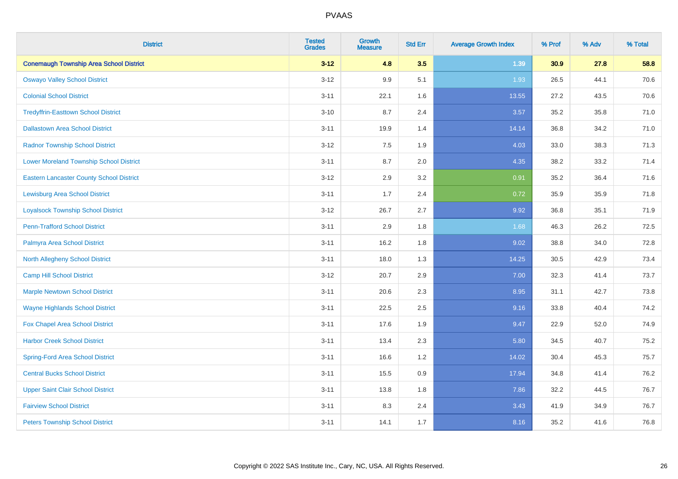| <b>District</b>                                 | <b>Tested</b><br><b>Grades</b> | <b>Growth</b><br><b>Measure</b> | <b>Std Err</b> | <b>Average Growth Index</b> | % Prof | % Adv | % Total |
|-------------------------------------------------|--------------------------------|---------------------------------|----------------|-----------------------------|--------|-------|---------|
| <b>Conemaugh Township Area School District</b>  | $3 - 12$                       | 4.8                             | 3.5            | 1.39                        | 30.9   | 27.8  | 58.8    |
| <b>Oswayo Valley School District</b>            | $3 - 12$                       | 9.9                             | 5.1            | 1.93                        | 26.5   | 44.1  | 70.6    |
| <b>Colonial School District</b>                 | $3 - 11$                       | 22.1                            | 1.6            | 13.55                       | 27.2   | 43.5  | 70.6    |
| <b>Tredyffrin-Easttown School District</b>      | $3 - 10$                       | 8.7                             | 2.4            | 3.57                        | 35.2   | 35.8  | 71.0    |
| <b>Dallastown Area School District</b>          | $3 - 11$                       | 19.9                            | 1.4            | 14.14                       | 36.8   | 34.2  | 71.0    |
| <b>Radnor Township School District</b>          | $3 - 12$                       | 7.5                             | 1.9            | 4.03                        | 33.0   | 38.3  | 71.3    |
| <b>Lower Moreland Township School District</b>  | $3 - 11$                       | 8.7                             | 2.0            | 4.35                        | 38.2   | 33.2  | 71.4    |
| <b>Eastern Lancaster County School District</b> | $3 - 12$                       | 2.9                             | 3.2            | 0.91                        | 35.2   | 36.4  | 71.6    |
| <b>Lewisburg Area School District</b>           | $3 - 11$                       | 1.7                             | 2.4            | 0.72                        | 35.9   | 35.9  | 71.8    |
| <b>Loyalsock Township School District</b>       | $3-12$                         | 26.7                            | 2.7            | 9.92                        | 36.8   | 35.1  | 71.9    |
| <b>Penn-Trafford School District</b>            | $3 - 11$                       | 2.9                             | 1.8            | 1.68                        | 46.3   | 26.2  | 72.5    |
| Palmyra Area School District                    | $3 - 11$                       | 16.2                            | 1.8            | 9.02                        | 38.8   | 34.0  | 72.8    |
| North Allegheny School District                 | $3 - 11$                       | 18.0                            | 1.3            | 14.25                       | 30.5   | 42.9  | 73.4    |
| <b>Camp Hill School District</b>                | $3 - 12$                       | 20.7                            | 2.9            | 7.00                        | 32.3   | 41.4  | 73.7    |
| <b>Marple Newtown School District</b>           | $3 - 11$                       | 20.6                            | 2.3            | 8.95                        | 31.1   | 42.7  | 73.8    |
| <b>Wayne Highlands School District</b>          | $3 - 11$                       | 22.5                            | 2.5            | 9.16                        | 33.8   | 40.4  | 74.2    |
| Fox Chapel Area School District                 | $3 - 11$                       | 17.6                            | 1.9            | 9.47                        | 22.9   | 52.0  | 74.9    |
| <b>Harbor Creek School District</b>             | $3 - 11$                       | 13.4                            | 2.3            | 5.80                        | 34.5   | 40.7  | 75.2    |
| <b>Spring-Ford Area School District</b>         | $3 - 11$                       | 16.6                            | 1.2            | 14.02                       | 30.4   | 45.3  | 75.7    |
| <b>Central Bucks School District</b>            | $3 - 11$                       | 15.5                            | 0.9            | 17.94                       | 34.8   | 41.4  | 76.2    |
| <b>Upper Saint Clair School District</b>        | $3 - 11$                       | 13.8                            | 1.8            | 7.86                        | 32.2   | 44.5  | 76.7    |
| <b>Fairview School District</b>                 | $3 - 11$                       | 8.3                             | 2.4            | 3.43                        | 41.9   | 34.9  | 76.7    |
| <b>Peters Township School District</b>          | $3 - 11$                       | 14.1                            | 1.7            | 8.16                        | 35.2   | 41.6  | 76.8    |